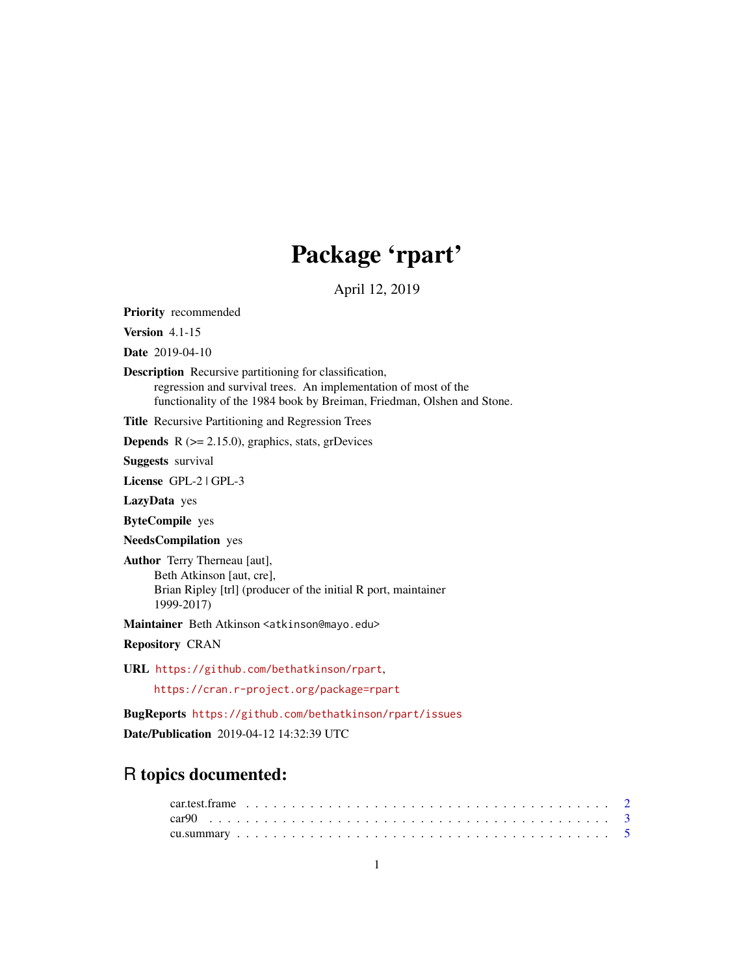# Package 'rpart'

April 12, 2019

<span id="page-0-0"></span>Priority recommended

Version 4.1-15

Date 2019-04-10

Description Recursive partitioning for classification,

regression and survival trees. An implementation of most of the functionality of the 1984 book by Breiman, Friedman, Olshen and Stone.

Title Recursive Partitioning and Regression Trees

**Depends**  $R$  ( $>= 2.15.0$ ), graphics, stats, grDevices

Suggests survival

License GPL-2 | GPL-3

LazyData yes

ByteCompile yes

NeedsCompilation yes

Author Terry Therneau [aut], Beth Atkinson [aut, cre], Brian Ripley [trl] (producer of the initial R port, maintainer 1999-2017)

Maintainer Beth Atkinson <atkinson@mayo.edu>

Repository CRAN

URL <https://github.com/bethatkinson/rpart>,

<https://cran.r-project.org/package=rpart>

BugReports <https://github.com/bethatkinson/rpart/issues> Date/Publication 2019-04-12 14:32:39 UTC

# R topics documented: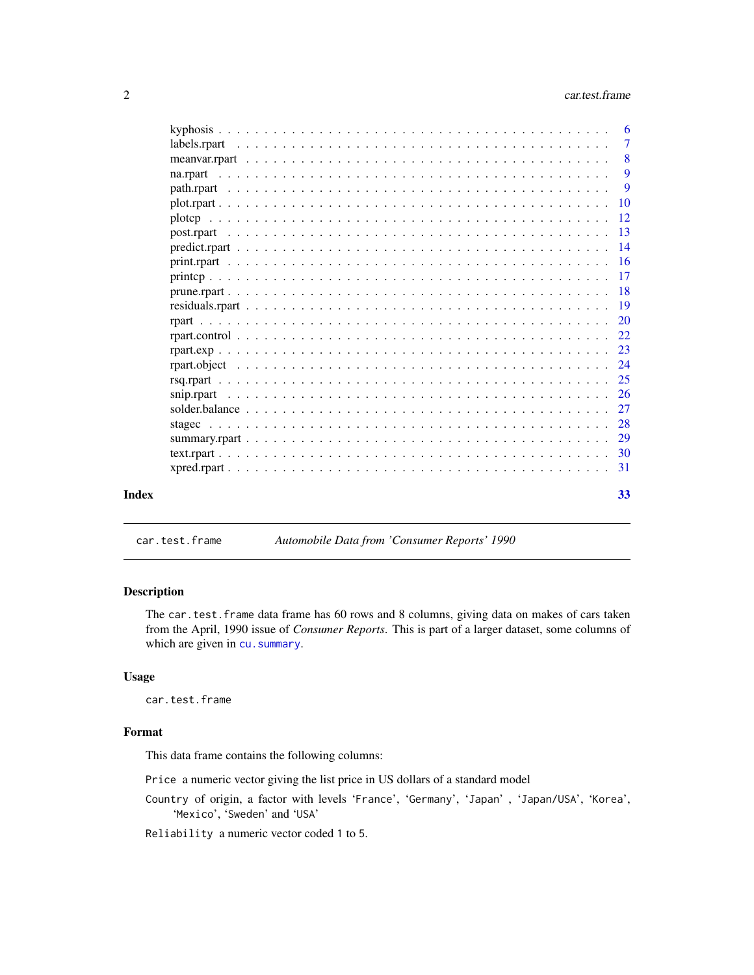<span id="page-1-0"></span>

|       | -6                        |
|-------|---------------------------|
|       | -7                        |
|       | $\overline{\phantom{0}}8$ |
|       | 9                         |
|       | 9                         |
|       | -10                       |
|       | - 12                      |
|       |                           |
|       |                           |
|       |                           |
|       |                           |
|       |                           |
|       |                           |
|       |                           |
|       |                           |
|       |                           |
|       |                           |
|       |                           |
|       |                           |
|       |                           |
|       |                           |
|       |                           |
|       |                           |
|       |                           |
|       |                           |
| Index | 33                        |

<span id="page-1-1"></span>car.test.frame *Automobile Data from 'Consumer Reports' 1990*

#### Description

The car.test.frame data frame has 60 rows and 8 columns, giving data on makes of cars taken from the April, 1990 issue of *Consumer Reports*. This is part of a larger dataset, some columns of which are given in cu. summary.

# Usage

car.test.frame

# Format

This data frame contains the following columns:

Price a numeric vector giving the list price in US dollars of a standard model

Country of origin, a factor with levels 'France', 'Germany', 'Japan' , 'Japan/USA', 'Korea', 'Mexico', 'Sweden' and 'USA'

Reliability a numeric vector coded 1 to 5.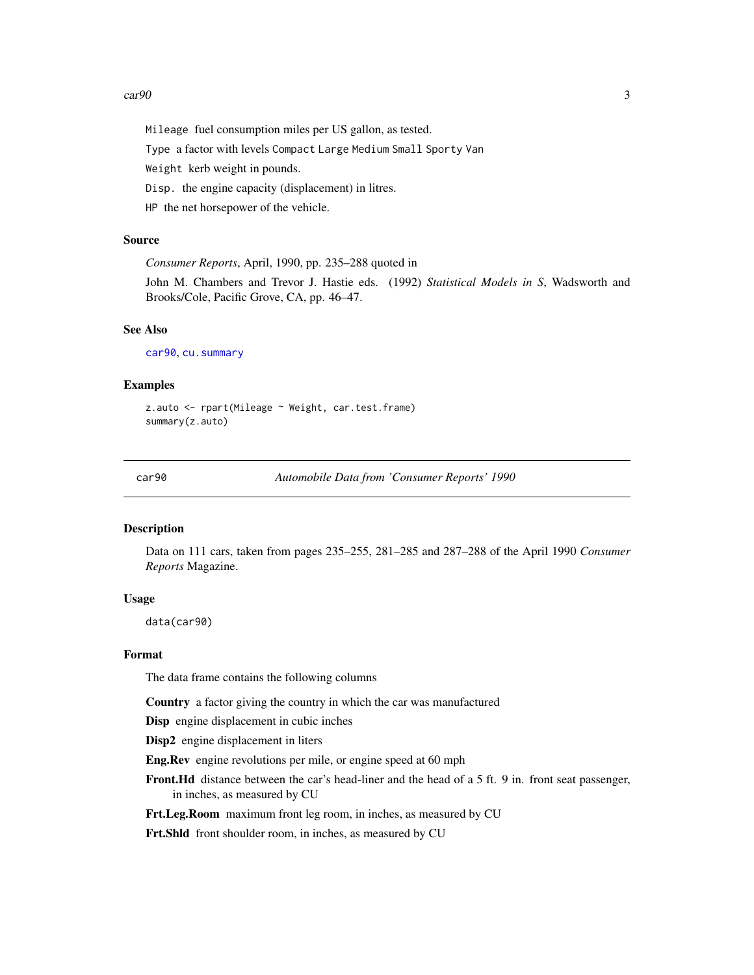#### <span id="page-2-0"></span> $car90$  3

Mileage fuel consumption miles per US gallon, as tested.

Type a factor with levels Compact Large Medium Small Sporty Van

Weight kerb weight in pounds.

Disp. the engine capacity (displacement) in litres.

HP the net horsepower of the vehicle.

#### Source

*Consumer Reports*, April, 1990, pp. 235–288 quoted in

John M. Chambers and Trevor J. Hastie eds. (1992) *Statistical Models in S*, Wadsworth and Brooks/Cole, Pacific Grove, CA, pp. 46–47.

#### See Also

[car90](#page-2-1), [cu.summary](#page-4-1)

#### Examples

z.auto <- rpart(Mileage ~ Weight, car.test.frame) summary(z.auto)

<span id="page-2-1"></span>car90 *Automobile Data from 'Consumer Reports' 1990*

#### **Description**

Data on 111 cars, taken from pages 235–255, 281–285 and 287–288 of the April 1990 *Consumer Reports* Magazine.

#### Usage

data(car90)

#### Format

The data frame contains the following columns

Country a factor giving the country in which the car was manufactured

Disp engine displacement in cubic inches

Disp2 engine displacement in liters

Eng.Rev engine revolutions per mile, or engine speed at 60 mph

Front. Hd distance between the car's head-liner and the head of a 5 ft. 9 in. front seat passenger, in inches, as measured by CU

Frt.Leg.Room maximum front leg room, in inches, as measured by CU

Frt.Shld front shoulder room, in inches, as measured by CU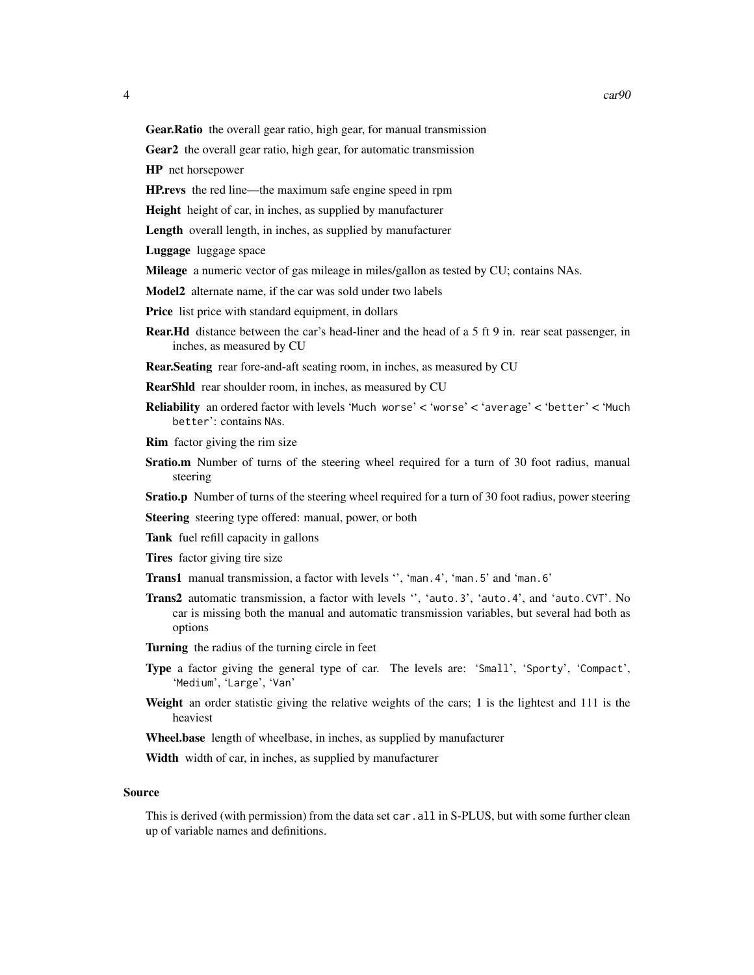Gear.Ratio the overall gear ratio, high gear, for manual transmission

Gear2 the overall gear ratio, high gear, for automatic transmission

HP net horsepower

HP.revs the red line—the maximum safe engine speed in rpm

Height height of car, in inches, as supplied by manufacturer

Length overall length, in inches, as supplied by manufacturer

Luggage luggage space

Mileage a numeric vector of gas mileage in miles/gallon as tested by CU; contains NAs.

Model2 alternate name, if the car was sold under two labels

Price list price with standard equipment, in dollars

Rear.Hd distance between the car's head-liner and the head of a 5 ft 9 in. rear seat passenger, in inches, as measured by CU

Rear.Seating rear fore-and-aft seating room, in inches, as measured by CU

RearShld rear shoulder room, in inches, as measured by CU

Reliability an ordered factor with levels 'Much worse' < 'worse' < 'average' < 'better' < 'Much better': contains NAs.

Rim factor giving the rim size

Sratio.m Number of turns of the steering wheel required for a turn of 30 foot radius, manual steering

**Sratio.p** Number of turns of the steering wheel required for a turn of 30 foot radius, power steering

Steering steering type offered: manual, power, or both

Tank fuel refill capacity in gallons

Tires factor giving tire size

- Trans1 manual transmission, a factor with levels '', 'man.4', 'man.5' and 'man.6'
- Trans2 automatic transmission, a factor with levels '', 'auto.3', 'auto.4', and 'auto.CVT'. No car is missing both the manual and automatic transmission variables, but several had both as options
- Turning the radius of the turning circle in feet
- Type a factor giving the general type of car. The levels are: 'Small', 'Sporty', 'Compact', 'Medium', 'Large', 'Van'
- Weight an order statistic giving the relative weights of the cars; 1 is the lightest and 111 is the heaviest

Wheel.base length of wheelbase, in inches, as supplied by manufacturer

Width width of car, in inches, as supplied by manufacturer

#### Source

This is derived (with permission) from the data set car.all in S-PLUS, but with some further clean up of variable names and definitions.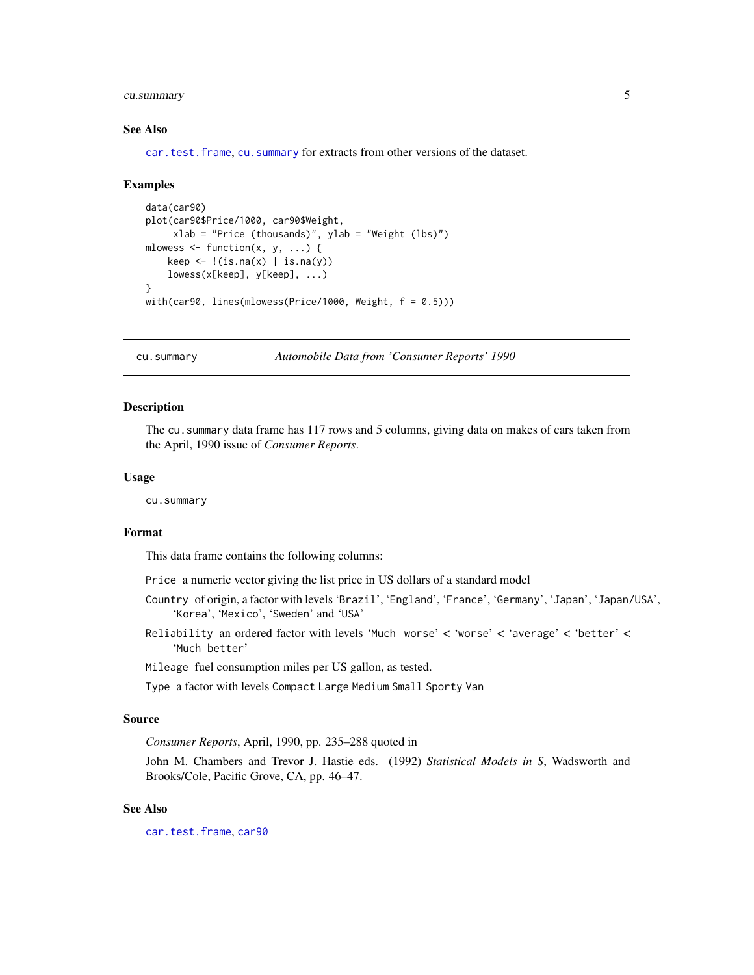# <span id="page-4-0"></span>cu.summary 5

#### See Also

[car.test.frame](#page-1-1), [cu.summary](#page-4-1) for extracts from other versions of the dataset.

#### Examples

```
data(car90)
plot(car90$Price/1000, car90$Weight,
     xlab = "Price (thousands)", ylab = "Weight (lbs)")
mlowess \leq function(x, y, ...) {
   keep \leq !(is.na(x) | is.na(y))
   lowess(x[keep], y[keep], ...)
}
with(car90, lines(mlowess(Price/1000, Weight, f = 0.5)))
```
<span id="page-4-1"></span>cu.summary *Automobile Data from 'Consumer Reports' 1990*

#### Description

The cu.summary data frame has 117 rows and 5 columns, giving data on makes of cars taken from the April, 1990 issue of *Consumer Reports*.

#### Usage

cu.summary

#### Format

This data frame contains the following columns:

Price a numeric vector giving the list price in US dollars of a standard model

- Country of origin, a factor with levels 'Brazil', 'England', 'France', 'Germany', 'Japan', 'Japan/USA', 'Korea', 'Mexico', 'Sweden' and 'USA'
- Reliability an ordered factor with levels 'Much worse' < 'worse' < 'average' < 'better' < 'Much better'

Mileage fuel consumption miles per US gallon, as tested.

Type a factor with levels Compact Large Medium Small Sporty Van

#### Source

*Consumer Reports*, April, 1990, pp. 235–288 quoted in

John M. Chambers and Trevor J. Hastie eds. (1992) *Statistical Models in S*, Wadsworth and Brooks/Cole, Pacific Grove, CA, pp. 46–47.

#### See Also

[car.test.frame](#page-1-1), [car90](#page-2-1)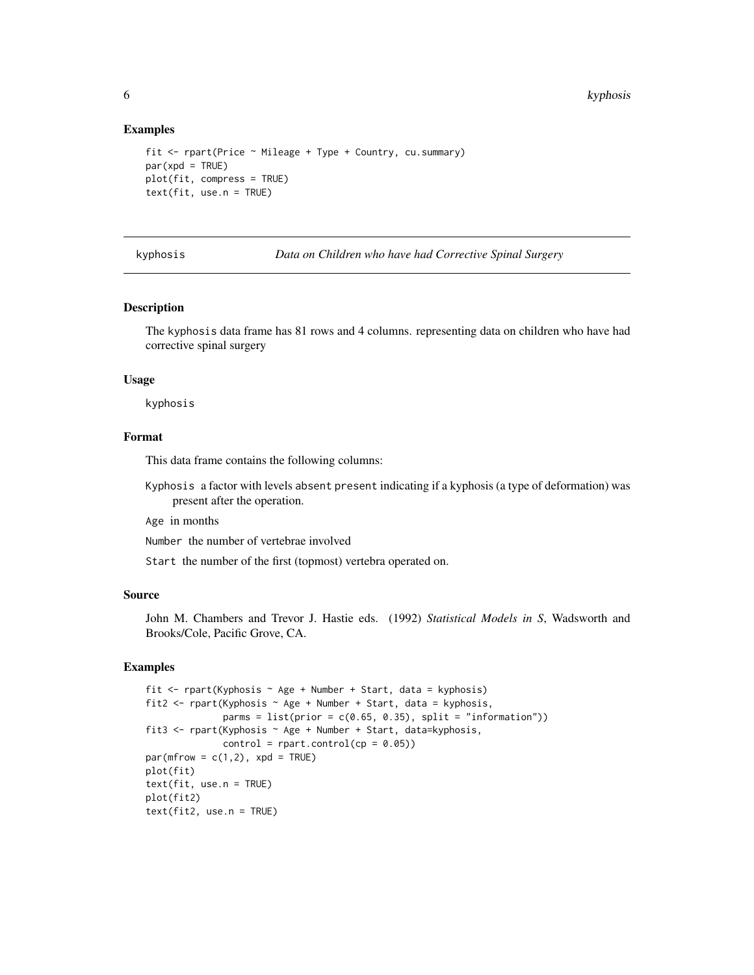#### Examples

```
fit <- rpart(Price ~ Mileage + Type + Country, cu.summary)
par(xpd = TRUE)plot(fit, compress = TRUE)
text(fit, use.n = TRUE)
```
kyphosis *Data on Children who have had Corrective Spinal Surgery*

#### Description

The kyphosis data frame has 81 rows and 4 columns. representing data on children who have had corrective spinal surgery

#### Usage

kyphosis

#### Format

This data frame contains the following columns:

Kyphosis a factor with levels absent present indicating if a kyphosis (a type of deformation) was present after the operation.

Age in months

Number the number of vertebrae involved

Start the number of the first (topmost) vertebra operated on.

# Source

John M. Chambers and Trevor J. Hastie eds. (1992) *Statistical Models in S*, Wadsworth and Brooks/Cole, Pacific Grove, CA.

#### Examples

```
fit <- rpart(Kyphosis ~ Age + Number + Start, data = kyphosis)
fit2 <- rpart(Kyphosis ~ Age + Number + Start, data = kyphosis,
             parms = list(prior = c(0.65, 0.35), split = "information")fit3 <- rpart(Kyphosis ~ Age + Number + Start, data=kyphosis,
             control = rpart.control(cp = 0.05)par(mfrow = c(1,2), xpd = TRUE)plot(fit)
text(fit, use.n = TRUE)
plot(fit2)
text(fit2, use.n = TRUE)
```
<span id="page-5-0"></span>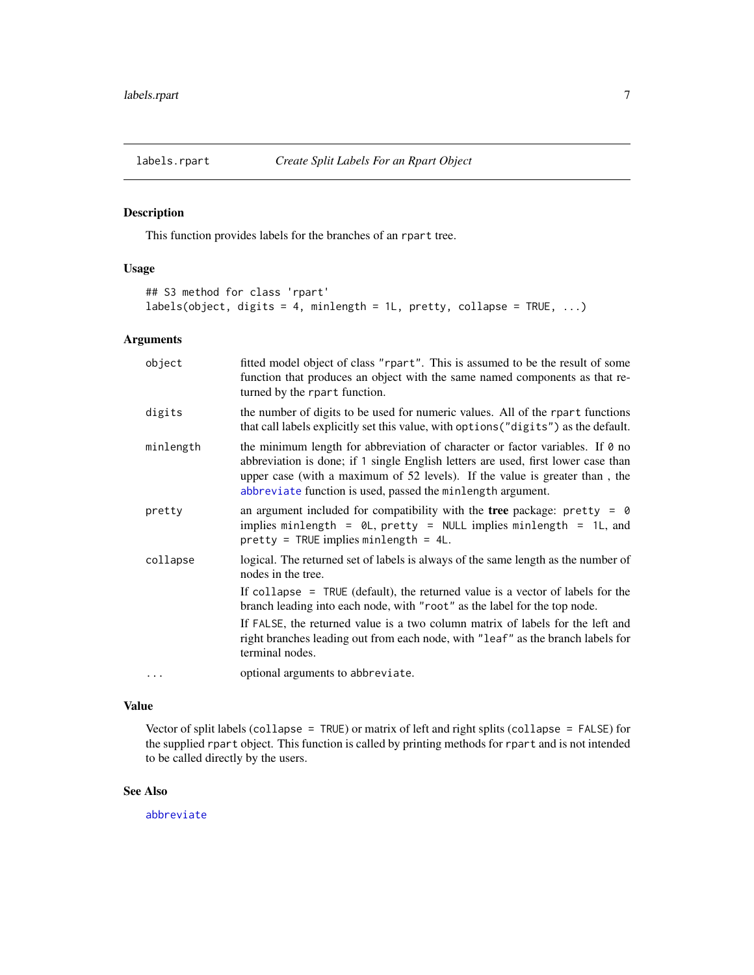<span id="page-6-1"></span><span id="page-6-0"></span>

This function provides labels for the branches of an rpart tree.

# Usage

```
## S3 method for class 'rpart'
labels(object, digits = 4, minlength = 1L, pretty, collapse = TRUE, \ldots)
```
#### Arguments

| object    | fitted model object of class "rpart". This is assumed to be the result of some<br>function that produces an object with the same named components as that re-<br>turned by the rpart function.                                                                                                                          |
|-----------|-------------------------------------------------------------------------------------------------------------------------------------------------------------------------------------------------------------------------------------------------------------------------------------------------------------------------|
| digits    | the number of digits to be used for numeric values. All of the rpart functions<br>that call labels explicitly set this value, with options ("digits") as the default.                                                                                                                                                   |
| minlength | the minimum length for abbreviation of character or factor variables. If $\theta$ no<br>abbreviation is done; if 1 single English letters are used, first lower case than<br>upper case (with a maximum of 52 levels). If the value is greater than, the<br>abbreviate function is used, passed the minlength argument. |
| pretty    | an argument included for compatibility with the <b>tree</b> package: pretty = $\theta$<br>implies minlength = $\theta$ L, pretty = NULL implies minlength = 1L, and<br>$pretty = TRUE$ implies minlength = 4L.                                                                                                          |
| collapse  | logical. The returned set of labels is always of the same length as the number of<br>nodes in the tree.                                                                                                                                                                                                                 |
|           | If collapse = TRUE (default), the returned value is a vector of labels for the<br>branch leading into each node, with "root" as the label for the top node.                                                                                                                                                             |
|           | If FALSE, the returned value is a two column matrix of labels for the left and<br>right branches leading out from each node, with "leaf" as the branch labels for<br>terminal nodes.                                                                                                                                    |
| .         | optional arguments to abbreviate.                                                                                                                                                                                                                                                                                       |

#### Value

Vector of split labels (collapse = TRUE) or matrix of left and right splits (collapse = FALSE) for the supplied rpart object. This function is called by printing methods for rpart and is not intended to be called directly by the users.

# See Also

[abbreviate](#page-0-0)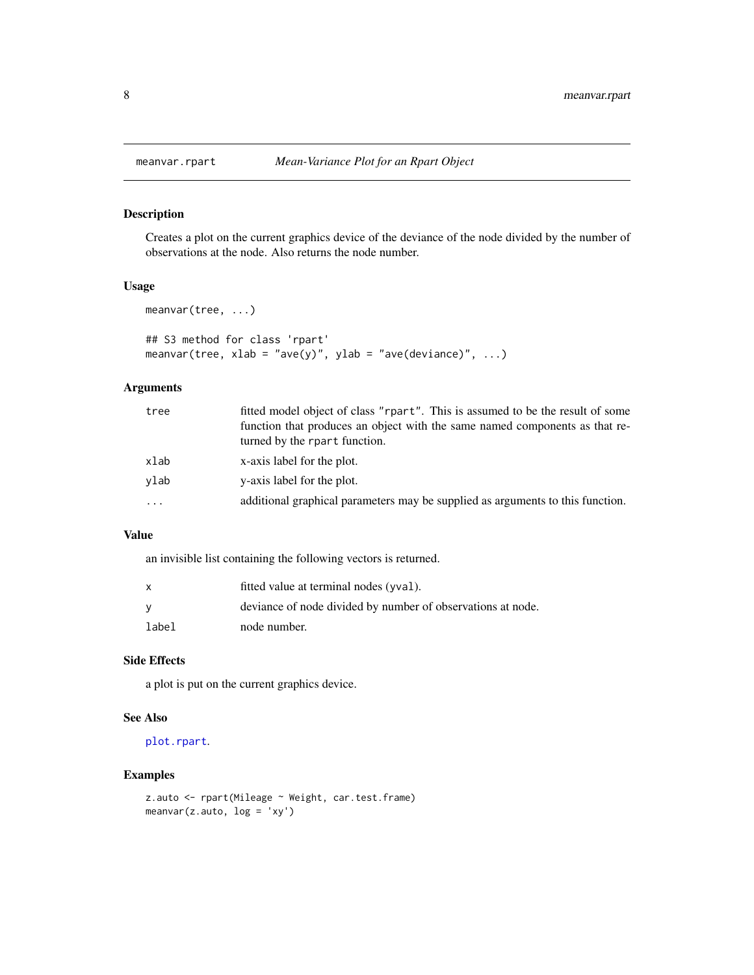<span id="page-7-0"></span>

Creates a plot on the current graphics device of the deviance of the node divided by the number of observations at the node. Also returns the node number.

# Usage

```
meanvar(tree, ...)
```

```
## S3 method for class 'rpart'
meanvar(tree, xlab = "ave(y)", ylab = "ave(deviance)", ...)
```
# Arguments

| tree | fitted model object of class "rpart". This is assumed to be the result of some<br>function that produces an object with the same named components as that re-<br>turned by the rpart function. |
|------|------------------------------------------------------------------------------------------------------------------------------------------------------------------------------------------------|
| xlab | x-axis label for the plot.                                                                                                                                                                     |
| vlab | y-axis label for the plot.                                                                                                                                                                     |
| .    | additional graphical parameters may be supplied as arguments to this function.                                                                                                                 |

# Value

an invisible list containing the following vectors is returned.

|       | fitted value at terminal nodes (yval).                      |
|-------|-------------------------------------------------------------|
|       | deviance of node divided by number of observations at node. |
| label | node number.                                                |

# Side Effects

a plot is put on the current graphics device.

# See Also

[plot.rpart](#page-9-1).

# Examples

```
z.auto <- rpart(Mileage ~ Weight, car.test.frame)
meanvar(z.auto, log = 'xy')
```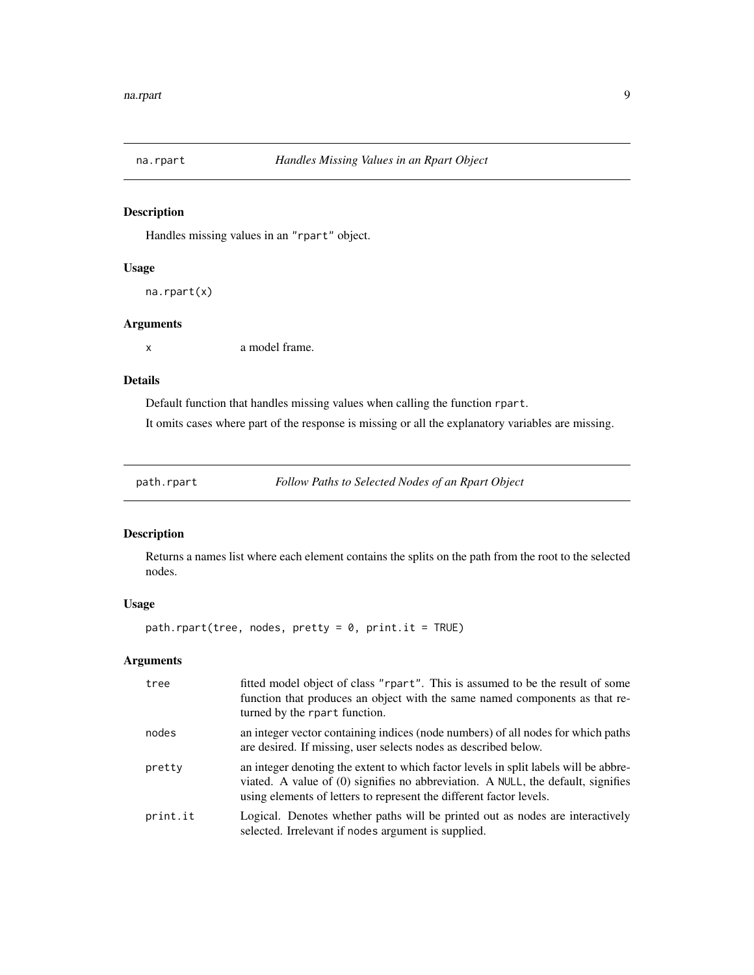<span id="page-8-0"></span>

Handles missing values in an "rpart" object.

#### Usage

na.rpart(x)

#### Arguments

x a model frame.

# Details

Default function that handles missing values when calling the function rpart.

It omits cases where part of the response is missing or all the explanatory variables are missing.

path.rpart *Follow Paths to Selected Nodes of an Rpart Object*

# Description

Returns a names list where each element contains the splits on the path from the root to the selected nodes.

# Usage

path.rpart(tree, nodes, pretty = 0, print.it = TRUE)

# Arguments

| tree     | fitted model object of class "rpart". This is assumed to be the result of some<br>function that produces an object with the same named components as that re-<br>turned by the rpart function.                                                  |
|----------|-------------------------------------------------------------------------------------------------------------------------------------------------------------------------------------------------------------------------------------------------|
| nodes    | an integer vector containing indices (node numbers) of all nodes for which paths<br>are desired. If missing, user selects nodes as described below.                                                                                             |
| pretty   | an integer denoting the extent to which factor levels in split labels will be abbre-<br>viated. A value of (0) signifies no abbreviation. A NULL, the default, signifies<br>using elements of letters to represent the different factor levels. |
| print.it | Logical. Denotes whether paths will be printed out as nodes are interactively<br>selected. Irrelevant if nodes argument is supplied.                                                                                                            |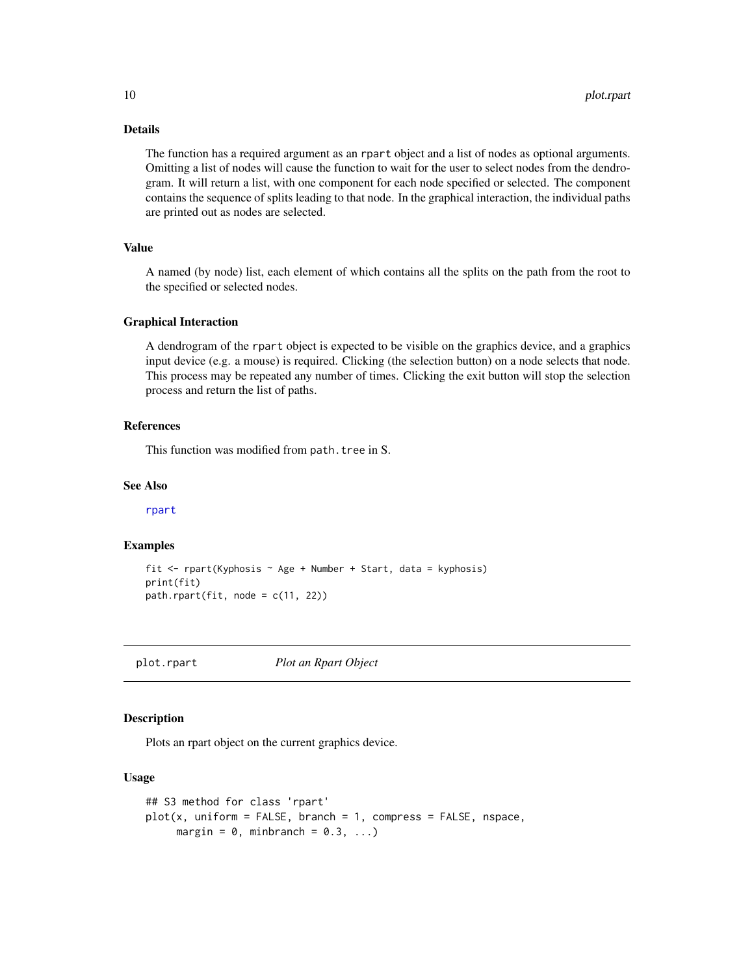# Details

The function has a required argument as an rpart object and a list of nodes as optional arguments. Omitting a list of nodes will cause the function to wait for the user to select nodes from the dendrogram. It will return a list, with one component for each node specified or selected. The component contains the sequence of splits leading to that node. In the graphical interaction, the individual paths are printed out as nodes are selected.

# Value

A named (by node) list, each element of which contains all the splits on the path from the root to the specified or selected nodes.

#### Graphical Interaction

A dendrogram of the rpart object is expected to be visible on the graphics device, and a graphics input device (e.g. a mouse) is required. Clicking (the selection button) on a node selects that node. This process may be repeated any number of times. Clicking the exit button will stop the selection process and return the list of paths.

# References

This function was modified from path.tree in S.

# See Also

[rpart](#page-19-1)

# Examples

```
fit <- rpart(Kyphosis ~ Age + Number + Start, data = kyphosis)
print(fit)
path.rpart(fit, node = c(11, 22))
```
<span id="page-9-1"></span>plot.rpart *Plot an Rpart Object*

#### Description

Plots an rpart object on the current graphics device.

#### Usage

```
## S3 method for class 'rpart'
plot(x, uniform = FALSE, branch = 1, compress = FALSE, nspace,margin = 0, minbranch = 0.3, ...
```
<span id="page-9-0"></span>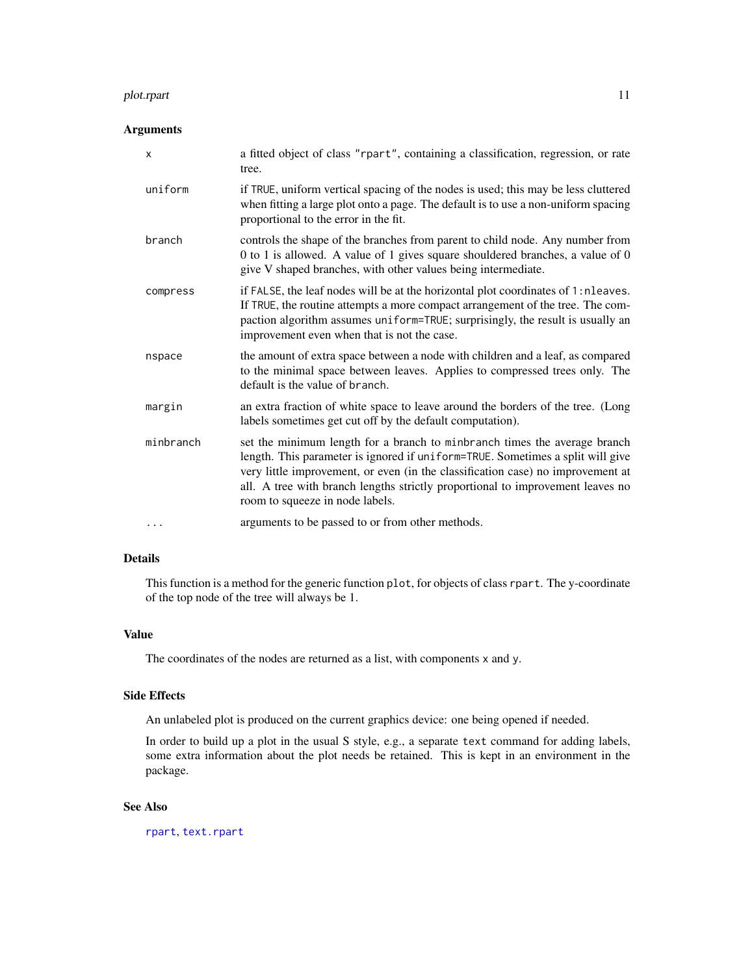#### <span id="page-10-0"></span>plot.rpart that the contract of the contract of the contract of the contract of the contract of the contract of the contract of the contract of the contract of the contract of the contract of the contract of the contract o

#### Arguments

| $\times$  | a fitted object of class "rpart", containing a classification, regression, or rate<br>tree.                                                                                                                                                                                                                                                                         |
|-----------|---------------------------------------------------------------------------------------------------------------------------------------------------------------------------------------------------------------------------------------------------------------------------------------------------------------------------------------------------------------------|
| uniform   | if TRUE, uniform vertical spacing of the nodes is used; this may be less cluttered<br>when fitting a large plot onto a page. The default is to use a non-uniform spacing<br>proportional to the error in the fit.                                                                                                                                                   |
| branch    | controls the shape of the branches from parent to child node. Any number from<br>0 to 1 is allowed. A value of 1 gives square shouldered branches, a value of 0<br>give V shaped branches, with other values being intermediate.                                                                                                                                    |
| compress  | if FALSE, the leaf nodes will be at the horizontal plot coordinates of 1: nleaves.<br>If TRUE, the routine attempts a more compact arrangement of the tree. The com-<br>paction algorithm assumes uniform=TRUE; surprisingly, the result is usually an<br>improvement even when that is not the case.                                                               |
| nspace    | the amount of extra space between a node with children and a leaf, as compared<br>to the minimal space between leaves. Applies to compressed trees only. The<br>default is the value of branch.                                                                                                                                                                     |
| margin    | an extra fraction of white space to leave around the borders of the tree. (Long<br>labels sometimes get cut off by the default computation).                                                                                                                                                                                                                        |
| minbranch | set the minimum length for a branch to minbranch times the average branch<br>length. This parameter is ignored if uniform=TRUE. Sometimes a split will give<br>very little improvement, or even (in the classification case) no improvement at<br>all. A tree with branch lengths strictly proportional to improvement leaves no<br>room to squeeze in node labels. |
| $\cdots$  | arguments to be passed to or from other methods.                                                                                                                                                                                                                                                                                                                    |

# Details

This function is a method for the generic function plot, for objects of class rpart. The y-coordinate of the top node of the tree will always be 1.

# Value

The coordinates of the nodes are returned as a list, with components x and y.

#### Side Effects

An unlabeled plot is produced on the current graphics device: one being opened if needed.

In order to build up a plot in the usual S style, e.g., a separate text command for adding labels, some extra information about the plot needs be retained. This is kept in an environment in the package.

# See Also

[rpart](#page-19-1), [text.rpart](#page-29-1)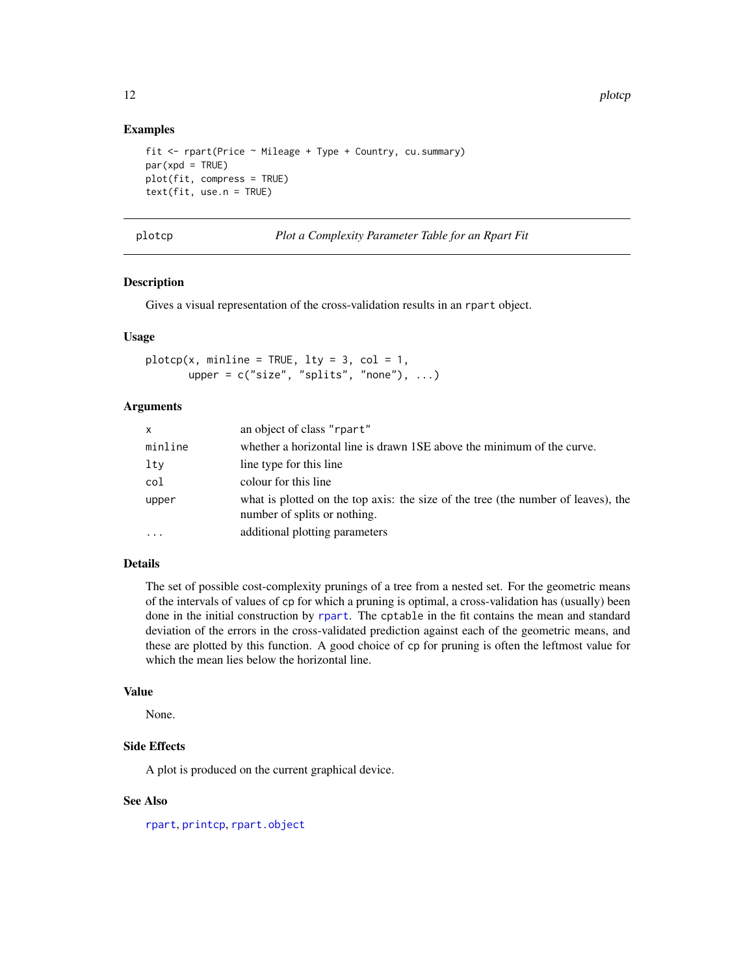12 plotcp

#### Examples

```
fit <- rpart(Price ~ Mileage + Type + Country, cu.summary)
par(xpd = TRUE)plot(fit, compress = TRUE)
text(fit, use.n = TRUE)
```

| г |  |
|---|--|
| Ο |  |

Plot a Complexity Parameter Table for an Rpart Fit

#### Description

Gives a visual representation of the cross-validation results in an rpart object.

#### Usage

```
plotcp(x, minline = TRUE, lty = 3, col = 1,upper = c("size", "splits", "none"), ...)
```
#### Arguments

| $\mathsf{x}$ | an object of class "rpart"                                                                                        |
|--------------|-------------------------------------------------------------------------------------------------------------------|
| minline      | whether a horizontal line is drawn 1SE above the minimum of the curve.                                            |
| lty          | line type for this line                                                                                           |
| col          | colour for this line                                                                                              |
| upper        | what is plotted on the top axis: the size of the tree (the number of leaves), the<br>number of splits or nothing. |
|              | additional plotting parameters                                                                                    |

# Details

The set of possible cost-complexity prunings of a tree from a nested set. For the geometric means of the intervals of values of cp for which a pruning is optimal, a cross-validation has (usually) been done in the initial construction by [rpart](#page-19-1). The cptable in the fit contains the mean and standard deviation of the errors in the cross-validated prediction against each of the geometric means, and these are plotted by this function. A good choice of cp for pruning is often the leftmost value for which the mean lies below the horizontal line.

#### Value

None.

#### Side Effects

A plot is produced on the current graphical device.

#### See Also

[rpart](#page-19-1), [printcp](#page-16-1), [rpart.object](#page-23-1)

<span id="page-11-0"></span>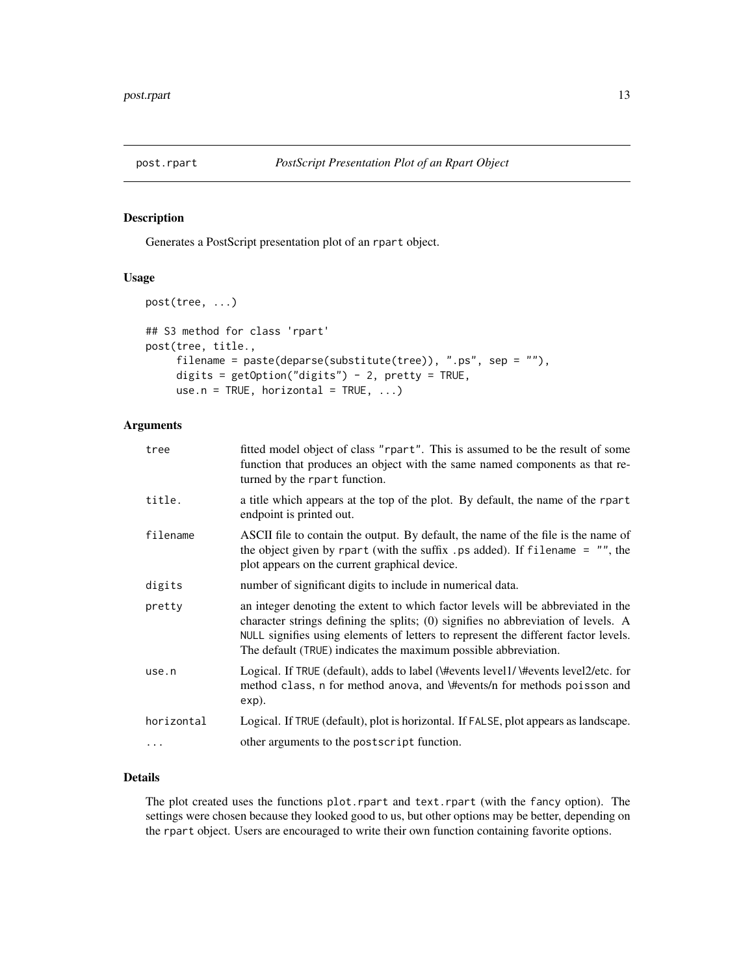<span id="page-12-0"></span>

Generates a PostScript presentation plot of an rpart object.

# Usage

```
post(tree, ...)
## S3 method for class 'rpart'
post(tree, title.,
     filename = paste(deparse(substitute(tree)), ".ps", sep = ""),
     digits = getOption("digits") - 2, pretty = TRUE,
     use.n = TRUE, horizontal = TRUE, \ldots)
```
# Arguments

| tree       | fitted model object of class "rpart". This is assumed to be the result of some<br>function that produces an object with the same named components as that re-<br>turned by the rpart function.                                                                                                                                 |
|------------|--------------------------------------------------------------------------------------------------------------------------------------------------------------------------------------------------------------------------------------------------------------------------------------------------------------------------------|
| title.     | a title which appears at the top of the plot. By default, the name of the rpart<br>endpoint is printed out.                                                                                                                                                                                                                    |
| filename   | ASCII file to contain the output. By default, the name of the file is the name of<br>the object given by rpart (with the suffix .ps added). If filename $=$ "", the<br>plot appears on the current graphical device.                                                                                                           |
| digits     | number of significant digits to include in numerical data.                                                                                                                                                                                                                                                                     |
| pretty     | an integer denoting the extent to which factor levels will be abbreviated in the<br>character strings defining the splits; (0) signifies no abbreviation of levels. A<br>NULL signifies using elements of letters to represent the different factor levels.<br>The default (TRUE) indicates the maximum possible abbreviation. |
| use.n      | Logical. If TRUE (default), adds to label (\#events level1/\#events level2/etc. for<br>method class, n for method anova, and \#events/n for methods poisson and<br>exp).                                                                                                                                                       |
| horizontal | Logical. If TRUE (default), plot is horizontal. If FALSE, plot appears as landscape.                                                                                                                                                                                                                                           |
| $\ddots$   | other arguments to the postscript function.                                                                                                                                                                                                                                                                                    |
|            |                                                                                                                                                                                                                                                                                                                                |

#### Details

The plot created uses the functions plot.rpart and text.rpart (with the fancy option). The settings were chosen because they looked good to us, but other options may be better, depending on the rpart object. Users are encouraged to write their own function containing favorite options.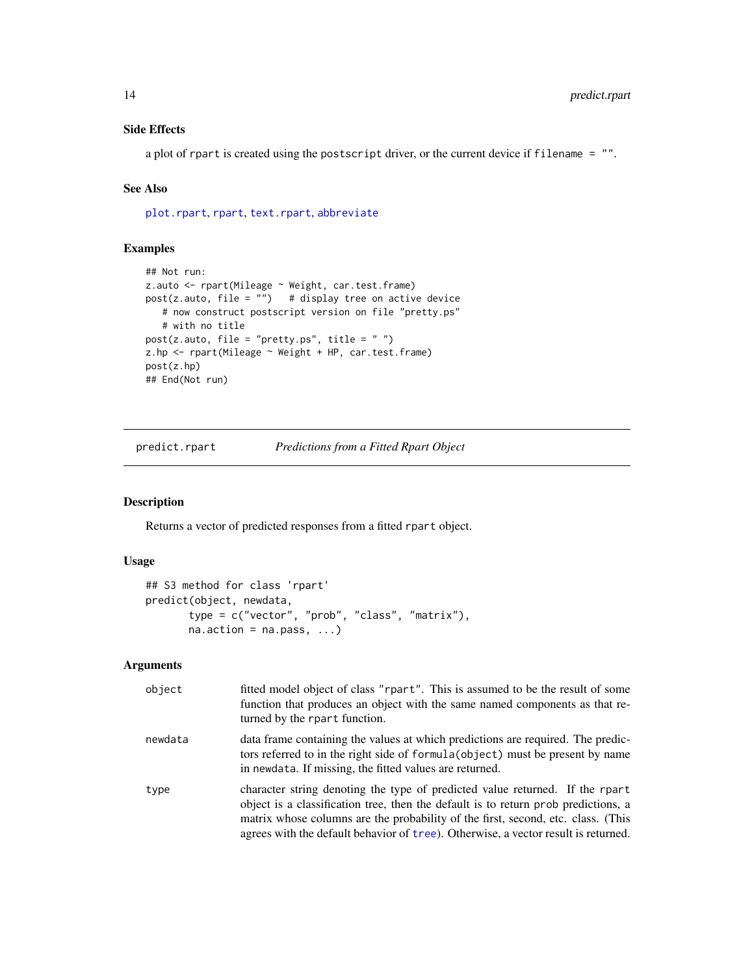# Side Effects

a plot of rpart is created using the postscript driver, or the current device if filename = "".

# See Also

[plot.rpart](#page-9-1), [rpart](#page-19-1), [text.rpart](#page-29-1), [abbreviate](#page-0-0)

# Examples

```
## Not run:
z.auto <- rpart(Mileage ~ Weight, car.test.frame)
post(z.auto, file = "") # display tree on active device
  # now construct postscript version on file "pretty.ps"
  # with no title
post(z.auto, file = "pretty.ps", title = " ")
z.hp <- rpart(Mileage ~ Weight + HP, car.test.frame)
post(z.hp)
## End(Not run)
```
predict.rpart *Predictions from a Fitted Rpart Object*

# Description

Returns a vector of predicted responses from a fitted rpart object.

# Usage

```
## S3 method for class 'rpart'
predict(object, newdata,
      type = c("vector", "prob", "class", "matrix"),
      na. action = na. pass, ...
```
# Arguments

| object  | fitted model object of class "rpart". This is assumed to be the result of some<br>function that produces an object with the same named components as that re-<br>turned by the rpart function.                                                                                                                                               |
|---------|----------------------------------------------------------------------------------------------------------------------------------------------------------------------------------------------------------------------------------------------------------------------------------------------------------------------------------------------|
| newdata | data frame containing the values at which predictions are required. The predic-<br>tors referred to in the right side of formula (object) must be present by name<br>in newdata. If missing, the fitted values are returned.                                                                                                                 |
| type    | character string denoting the type of predicted value returned. If the rpart<br>object is a classification tree, then the default is to return prob predictions, a<br>matrix whose columns are the probability of the first, second, etc. class. (This<br>agrees with the default behavior of tree). Otherwise, a vector result is returned. |

<span id="page-13-0"></span>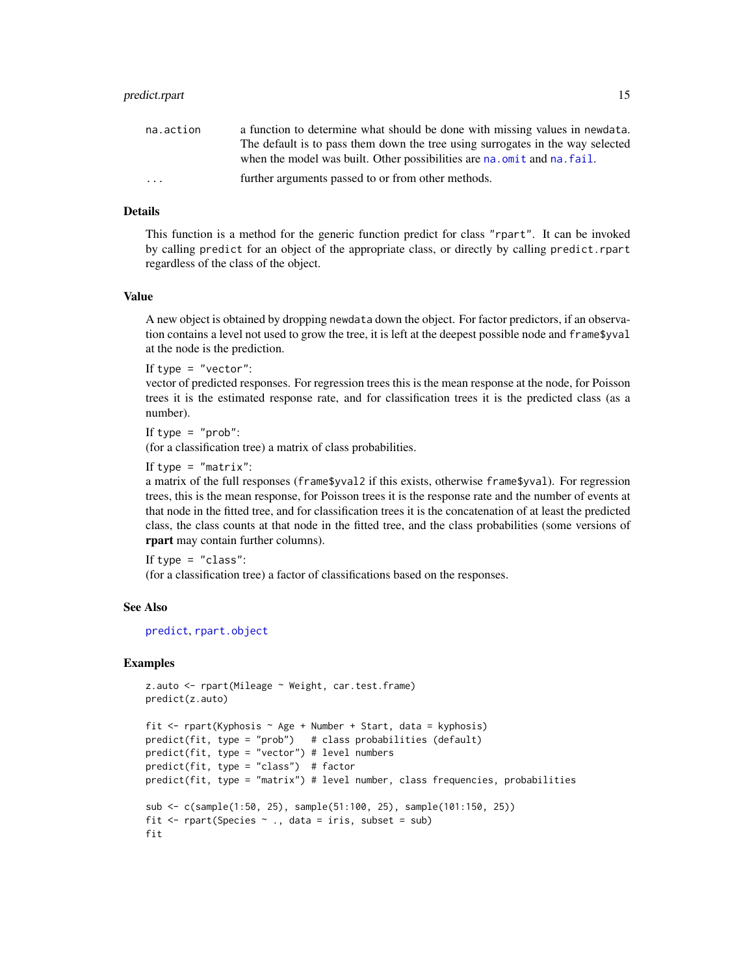#### <span id="page-14-0"></span>predict.rpart 15

| na.action               | a function to determine what should be done with missing values in newdata.    |
|-------------------------|--------------------------------------------------------------------------------|
|                         | The default is to pass them down the tree using surrogates in the way selected |
|                         | when the model was built. Other possibilities are na. omit and na. fail.       |
| $\cdot$ $\cdot$ $\cdot$ | further arguments passed to or from other methods.                             |

#### Details

This function is a method for the generic function predict for class "rpart". It can be invoked by calling predict for an object of the appropriate class, or directly by calling predict.rpart regardless of the class of the object.

#### Value

A new object is obtained by dropping newdata down the object. For factor predictors, if an observation contains a level not used to grow the tree, it is left at the deepest possible node and frame\$yval at the node is the prediction.

```
If type = "vector":
```
vector of predicted responses. For regression trees this is the mean response at the node, for Poisson trees it is the estimated response rate, and for classification trees it is the predicted class (as a number).

If type  $=$  "prob": (for a classification tree) a matrix of class probabilities.

If type  $=$  "matrix":

a matrix of the full responses (frame\$yval2 if this exists, otherwise frame\$yval). For regression trees, this is the mean response, for Poisson trees it is the response rate and the number of events at that node in the fitted tree, and for classification trees it is the concatenation of at least the predicted class, the class counts at that node in the fitted tree, and the class probabilities (some versions of rpart may contain further columns).

If type  $=$  "class":

(for a classification tree) a factor of classifications based on the responses.

#### See Also

[predict](#page-0-0), [rpart.object](#page-23-1)

#### Examples

```
z.auto <- rpart(Mileage ~ Weight, car.test.frame)
predict(z.auto)
fit <- rpart(Kyphosis ~ Age + Number + Start, data = kyphosis)
predict(fit, type = "prob") # class probabilities (default)
predict(fit, type = "vector") # level numbers
predict(fit, type = "class") # factor
predict(fit, type = "matrix") # level number, class frequencies, probabilities
sub <- c(sample(1:50, 25), sample(51:100, 25), sample(101:150, 25))
fit \le- rpart(Species \sim ., data = iris, subset = sub)
fit
```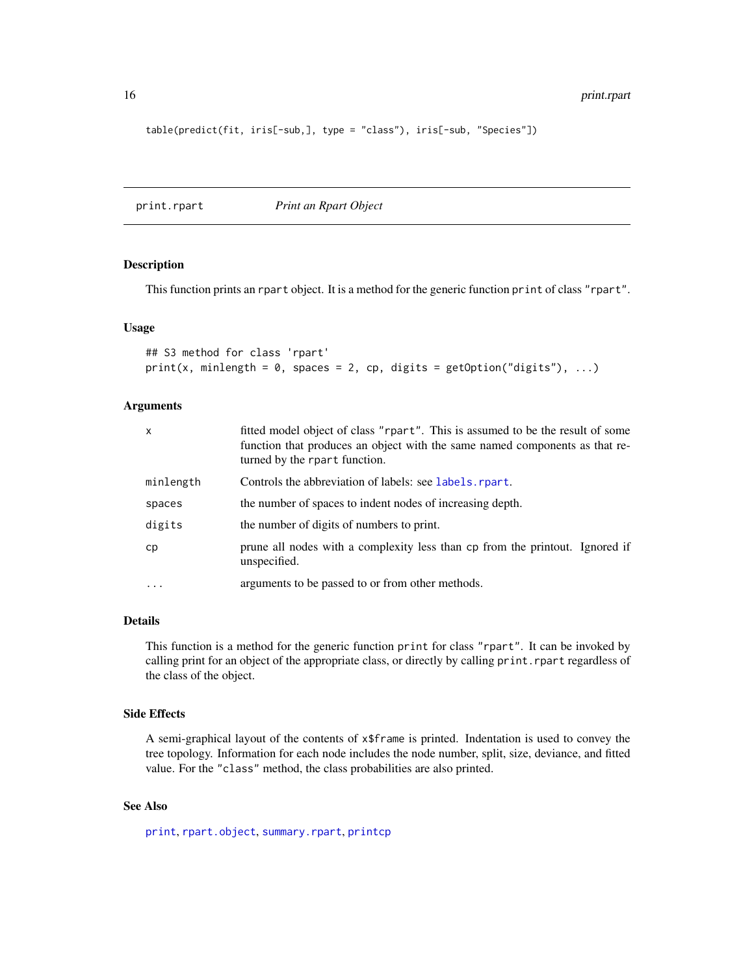```
table(predict(fit, iris[-sub,], type = "class"), iris[-sub, "Species"])
```
<span id="page-15-1"></span>print.rpart *Print an Rpart Object*

# Description

This function prints an rpart object. It is a method for the generic function print of class "rpart".

#### Usage

```
## S3 method for class 'rpart'
print(x, minlength = 0, spaces = 2, cp, digits = getOption("digits"), ...)
```
# Arguments

| x         | fitted model object of class "rpart". This is assumed to be the result of some<br>function that produces an object with the same named components as that re-<br>turned by the rpart function. |
|-----------|------------------------------------------------------------------------------------------------------------------------------------------------------------------------------------------------|
| minlength | Controls the abbreviation of labels: see labels. rpart.                                                                                                                                        |
| spaces    | the number of spaces to indent nodes of increasing depth.                                                                                                                                      |
| digits    | the number of digits of numbers to print.                                                                                                                                                      |
| cp        | prune all nodes with a complexity less than cp from the printout. Ignored if<br>unspecified.                                                                                                   |
| $\ddotsc$ | arguments to be passed to or from other methods.                                                                                                                                               |

#### Details

This function is a method for the generic function print for class "rpart". It can be invoked by calling print for an object of the appropriate class, or directly by calling print.rpart regardless of the class of the object.

# Side Effects

A semi-graphical layout of the contents of x\$frame is printed. Indentation is used to convey the tree topology. Information for each node includes the node number, split, size, deviance, and fitted value. For the "class" method, the class probabilities are also printed.

# See Also

[print](#page-0-0), [rpart.object](#page-23-1), [summary.rpart](#page-28-1), [printcp](#page-16-1)

<span id="page-15-0"></span>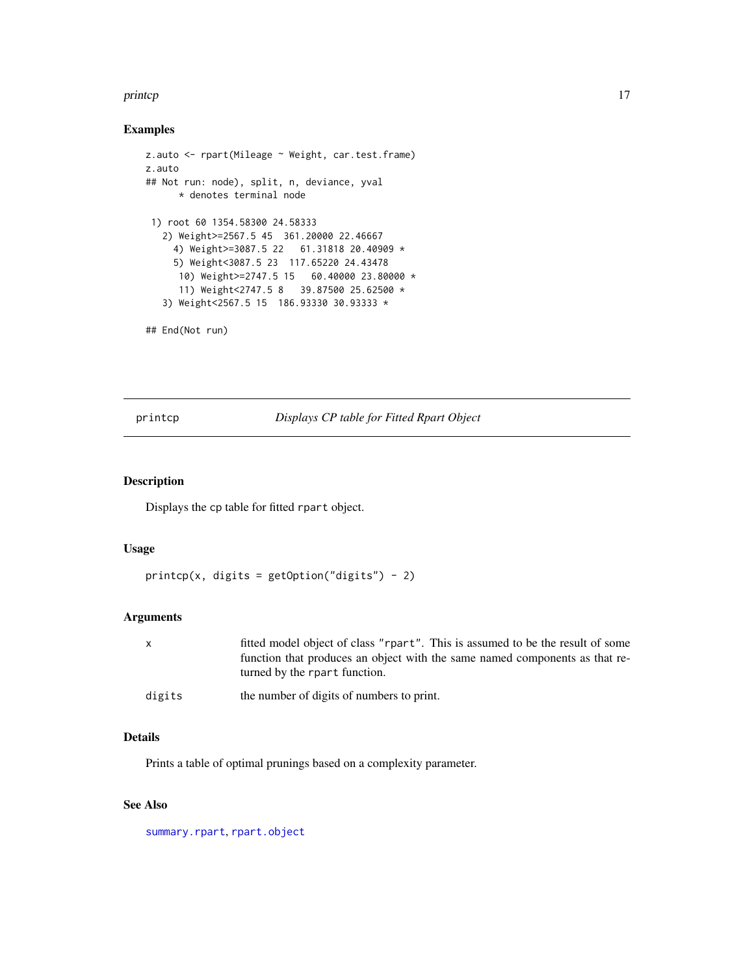#### <span id="page-16-0"></span>printcp and the state of the state of the state of the state of the state of the state of the state of the state of the state of the state of the state of the state of the state of the state of the state of the state of th

# Examples

```
z.auto <- rpart(Mileage ~ Weight, car.test.frame)
z.auto
## Not run: node), split, n, deviance, yval
     * denotes terminal node
1) root 60 1354.58300 24.58333
  2) Weight>=2567.5 45 361.20000 22.46667
    4) Weight>=3087.5 22 61.31818 20.40909 *
    5) Weight<3087.5 23 117.65220 24.43478
     10) Weight>=2747.5 15 60.40000 23.80000 *
     11) Weight<2747.5 8 39.87500 25.62500 *
  3) Weight<2567.5 15 186.93330 30.93333 *
```
## End(Not run)

# <span id="page-16-1"></span>printcp *Displays CP table for Fitted Rpart Object*

### Description

Displays the cp table for fitted rpart object.

# Usage

 $printcp(x, digits = getOption("digits") - 2)$ 

# Arguments

| $\mathsf{x}$ | fitted model object of class "rpart". This is assumed to be the result of some |
|--------------|--------------------------------------------------------------------------------|
|              | function that produces an object with the same named components as that re-    |
|              | turned by the rpart function.                                                  |
| digits       | the number of digits of numbers to print.                                      |

# Details

Prints a table of optimal prunings based on a complexity parameter.

# See Also

[summary.rpart](#page-28-1), [rpart.object](#page-23-1)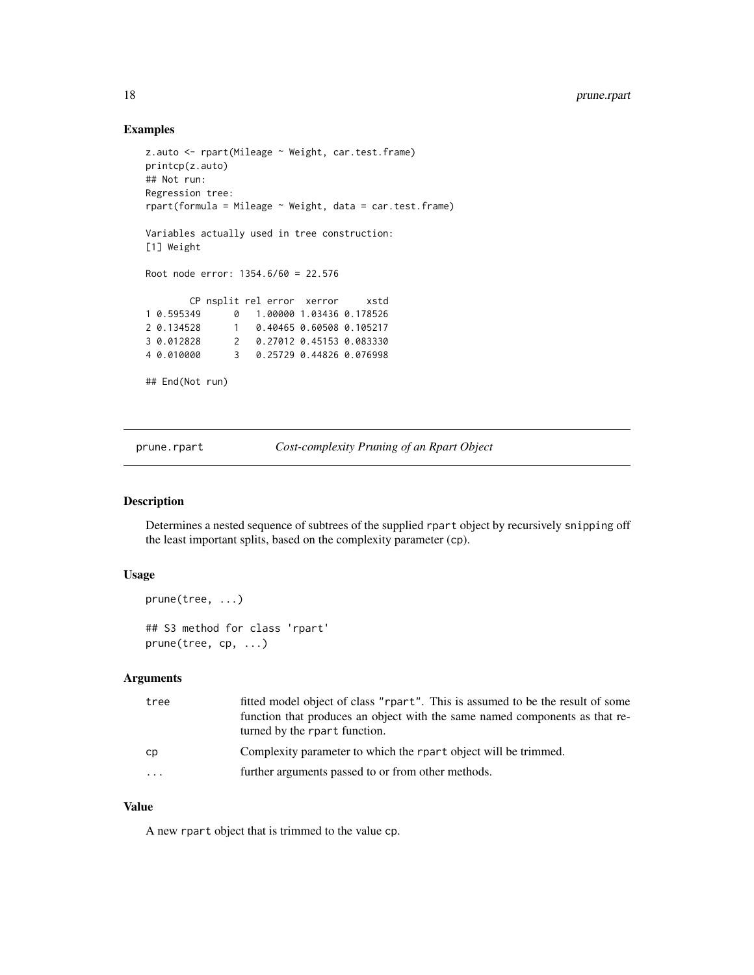#### Examples

```
z.auto <- rpart(Mileage ~ Weight, car.test.frame)
printcp(z.auto)
## Not run:
Regression tree:
rpart(formula = Mileage \sim Weight, data = car.test.frame)
Variables actually used in tree construction:
[1] Weight
Root node error: 1354.6/60 = 22.576
       CP nsplit rel error xerror xstd
1 0.595349 0 1.00000 1.03436 0.178526
2 0.134528 1 0.40465 0.60508 0.105217
3 0.012828 2 0.27012 0.45153 0.083330
4 0.010000 3 0.25729 0.44826 0.076998
## End(Not run)
```
prune.rpart *Cost-complexity Pruning of an Rpart Object*

# Description

Determines a nested sequence of subtrees of the supplied rpart object by recursively snipping off the least important splits, based on the complexity parameter (cp).

#### Usage

```
prune(tree, ...)
## S3 method for class 'rpart'
prune(tree, cp, ...)
```
#### Arguments

| tree      | fitted model object of class "rpart". This is assumed to be the result of some<br>function that produces an object with the same named components as that re-<br>turned by the rpart function. |
|-----------|------------------------------------------------------------------------------------------------------------------------------------------------------------------------------------------------|
| сp        | Complexity parameter to which the rpart object will be trimmed.                                                                                                                                |
| $\ddotsc$ | further arguments passed to or from other methods.                                                                                                                                             |

# Value

A new rpart object that is trimmed to the value cp.

<span id="page-17-0"></span>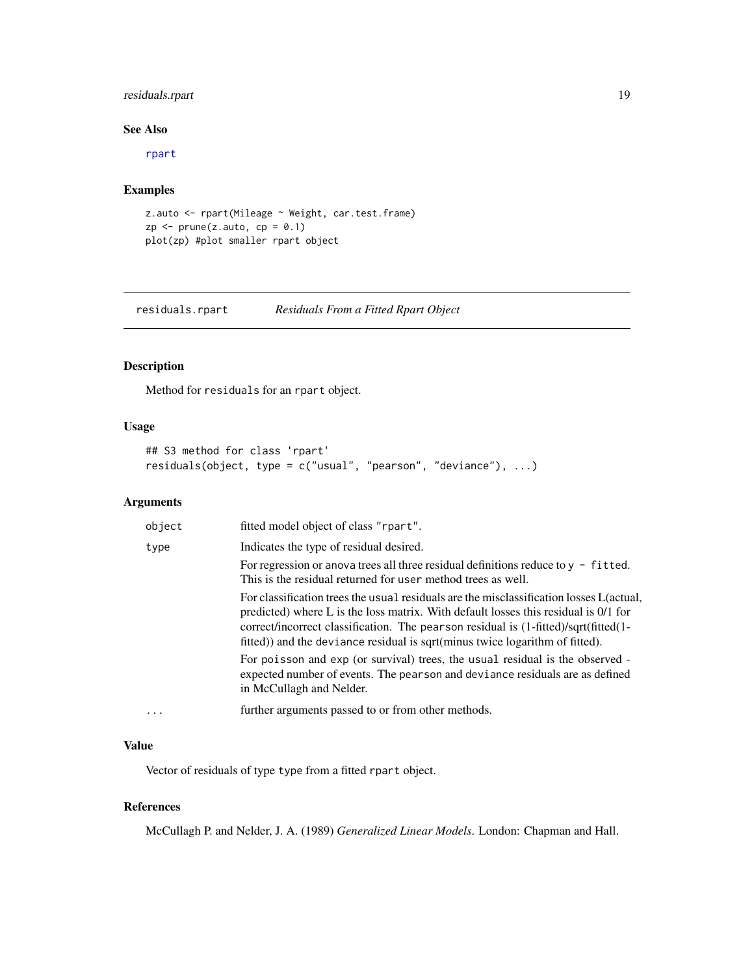# <span id="page-18-0"></span>residuals.rpart 19

#### See Also

[rpart](#page-19-1)

# Examples

```
z.auto <- rpart(Mileage ~ Weight, car.test.frame)
zp \leq prune(z.auto, cp = 0.1)
plot(zp) #plot smaller rpart object
```
residuals.rpart *Residuals From a Fitted Rpart Object*

# Description

Method for residuals for an rpart object.

# Usage

```
## S3 method for class 'rpart'
residuals(object, type = c("usual", "pearson", "deviance"), ...)
```
# Arguments

|  | object                                                                                                                                                                                                                                                                                                                                                  | fitted model object of class "rpart".                                                                                                                                                     |
|--|---------------------------------------------------------------------------------------------------------------------------------------------------------------------------------------------------------------------------------------------------------------------------------------------------------------------------------------------------------|-------------------------------------------------------------------------------------------------------------------------------------------------------------------------------------------|
|  | type                                                                                                                                                                                                                                                                                                                                                    | Indicates the type of residual desired.                                                                                                                                                   |
|  |                                                                                                                                                                                                                                                                                                                                                         | For regression or anova trees all three residual definitions reduce to $y - f$ it ted.<br>This is the residual returned for user method trees as well.                                    |
|  | For classification trees the usual residuals are the misclassification losses L(actual,<br>predicted) where L is the loss matrix. With default losses this residual is $0/1$ for<br>correct/incorrect classification. The pearson residual is (1-fitted)/sqrt(fitted(1-<br>fitted)) and the deviance residual is sqrt(minus twice logarithm of fitted). |                                                                                                                                                                                           |
|  |                                                                                                                                                                                                                                                                                                                                                         | For poisson and exp (or survival) trees, the usual residual is the observed -<br>expected number of events. The pearson and deviance residuals are as defined<br>in McCullagh and Nelder. |
|  | .                                                                                                                                                                                                                                                                                                                                                       | further arguments passed to or from other methods.                                                                                                                                        |
|  |                                                                                                                                                                                                                                                                                                                                                         |                                                                                                                                                                                           |

# Value

Vector of residuals of type type from a fitted rpart object.

#### References

McCullagh P. and Nelder, J. A. (1989) *Generalized Linear Models*. London: Chapman and Hall.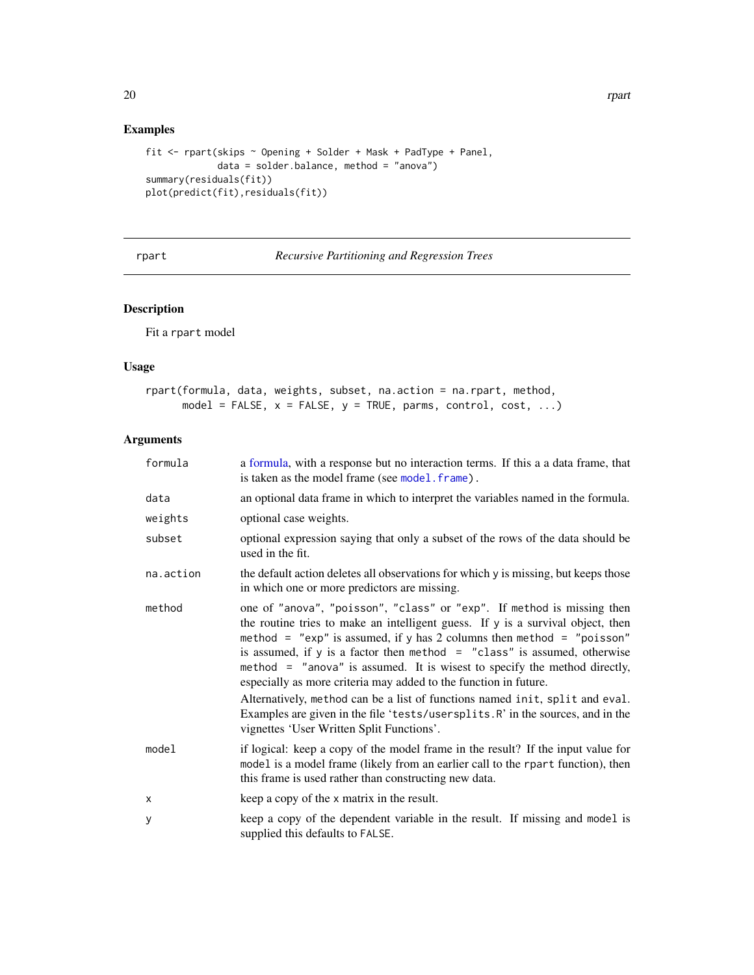# Examples

```
fit <- rpart(skips ~ Opening + Solder + Mask + PadType + Panel,
            data = solder.balance, method = "anova")
summary(residuals(fit))
plot(predict(fit),residuals(fit))
```
<span id="page-19-1"></span>rpart *Recursive Partitioning and Regression Trees*

# Description

Fit a rpart model

# Usage

```
rpart(formula, data, weights, subset, na.action = na.rpart, method,
     model = FALSE, x = FALSE, y = TRUE, parms, control, cost, ...)
```
# Arguments

| formula   | a formula, with a response but no interaction terms. If this a a data frame, that<br>is taken as the model frame (see model. frame).                                                                                                                                                                                                                                                                                                                                                                                                                                                                                                                                                 |
|-----------|--------------------------------------------------------------------------------------------------------------------------------------------------------------------------------------------------------------------------------------------------------------------------------------------------------------------------------------------------------------------------------------------------------------------------------------------------------------------------------------------------------------------------------------------------------------------------------------------------------------------------------------------------------------------------------------|
| data      | an optional data frame in which to interpret the variables named in the formula.                                                                                                                                                                                                                                                                                                                                                                                                                                                                                                                                                                                                     |
| weights   | optional case weights.                                                                                                                                                                                                                                                                                                                                                                                                                                                                                                                                                                                                                                                               |
| subset    | optional expression saying that only a subset of the rows of the data should be<br>used in the fit.                                                                                                                                                                                                                                                                                                                                                                                                                                                                                                                                                                                  |
| na.action | the default action deletes all observations for which y is missing, but keeps those<br>in which one or more predictors are missing.                                                                                                                                                                                                                                                                                                                                                                                                                                                                                                                                                  |
| method    | one of "anova", "poisson", "class" or "exp". If method is missing then<br>the routine tries to make an intelligent guess. If y is a survival object, then<br>method = " $exp$ " is assumed, if y has 2 columns then method = "poisson"<br>is assumed, if $y$ is a factor then method = "class" is assumed, otherwise<br>method = "anova" is assumed. It is wisest to specify the method directly,<br>especially as more criteria may added to the function in future.<br>Alternatively, method can be a list of functions named init, split and eval.<br>Examples are given in the file 'tests/usersplits.R' in the sources, and in the<br>vignettes 'User Written Split Functions'. |
| model     | if logical: keep a copy of the model frame in the result? If the input value for<br>model is a model frame (likely from an earlier call to the rpart function), then<br>this frame is used rather than constructing new data.                                                                                                                                                                                                                                                                                                                                                                                                                                                        |
| X         | keep a copy of the x matrix in the result.                                                                                                                                                                                                                                                                                                                                                                                                                                                                                                                                                                                                                                           |
| y         | keep a copy of the dependent variable in the result. If missing and model is<br>supplied this defaults to FALSE.                                                                                                                                                                                                                                                                                                                                                                                                                                                                                                                                                                     |

<span id="page-19-0"></span>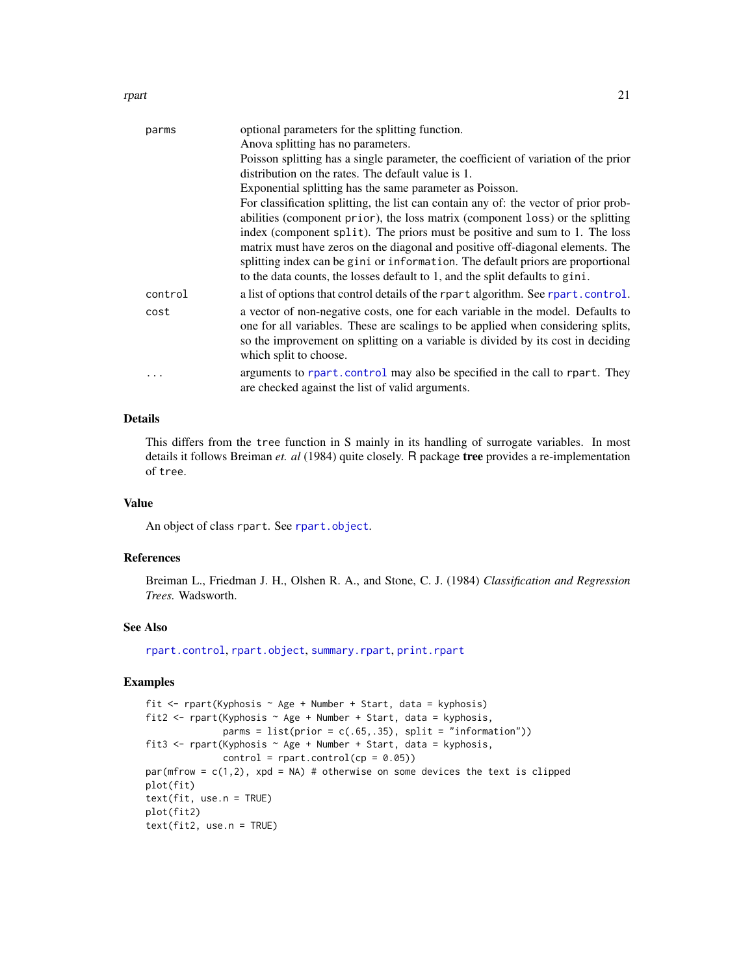#### <span id="page-20-0"></span>rpart 21

| parms   | optional parameters for the splitting function.                                                                                                                                                                                                                                   |
|---------|-----------------------------------------------------------------------------------------------------------------------------------------------------------------------------------------------------------------------------------------------------------------------------------|
|         | Anova splitting has no parameters.                                                                                                                                                                                                                                                |
|         | Poisson splitting has a single parameter, the coefficient of variation of the prior                                                                                                                                                                                               |
|         | distribution on the rates. The default value is 1.                                                                                                                                                                                                                                |
|         | Exponential splitting has the same parameter as Poisson.                                                                                                                                                                                                                          |
|         | For classification splitting, the list can contain any of: the vector of prior prob-                                                                                                                                                                                              |
|         | abilities (component prior), the loss matrix (component loss) or the splitting                                                                                                                                                                                                    |
|         | index (component split). The priors must be positive and sum to 1. The loss                                                                                                                                                                                                       |
|         | matrix must have zeros on the diagonal and positive off-diagonal elements. The                                                                                                                                                                                                    |
|         | splitting index can be gini or information. The default priors are proportional                                                                                                                                                                                                   |
|         | to the data counts, the losses default to 1, and the split defaults to gini.                                                                                                                                                                                                      |
| control | a list of options that control details of the report algorithm. See report . control.                                                                                                                                                                                             |
| cost    | a vector of non-negative costs, one for each variable in the model. Defaults to<br>one for all variables. These are scalings to be applied when considering splits,<br>so the improvement on splitting on a variable is divided by its cost in deciding<br>which split to choose. |
| .       | arguments to rpart, control may also be specified in the call to rpart. They<br>are checked against the list of valid arguments.                                                                                                                                                  |

# Details

This differs from the tree function in S mainly in its handling of surrogate variables. In most details it follows Breiman *et. al* (1984) quite closely. R package tree provides a re-implementation of tree.

# Value

An object of class rpart. See [rpart.object](#page-23-1).

# References

Breiman L., Friedman J. H., Olshen R. A., and Stone, C. J. (1984) *Classification and Regression Trees.* Wadsworth.

#### See Also

[rpart.control](#page-21-1), [rpart.object](#page-23-1), [summary.rpart](#page-28-1), [print.rpart](#page-15-1)

#### Examples

```
fit <- rpart(Kyphosis ~ Age + Number + Start, data = kyphosis)
fit2 <- rpart(Kyphosis \sim Age + Number + Start, data = kyphosis,
             parms = list(prior = c(.65,.35), split = "information")fit3 <- rpart(Kyphosis ~ Age + Number + Start, data = kyphosis,
             control = rpart.control(cp = 0.05)par(mfrow = c(1,2), xpd = NA) # otherwise on some devices the text is clipped
plot(fit)
text(fit, use.n = TRUE)
plot(fit2)
text(fit2, use.n = TRUE)
```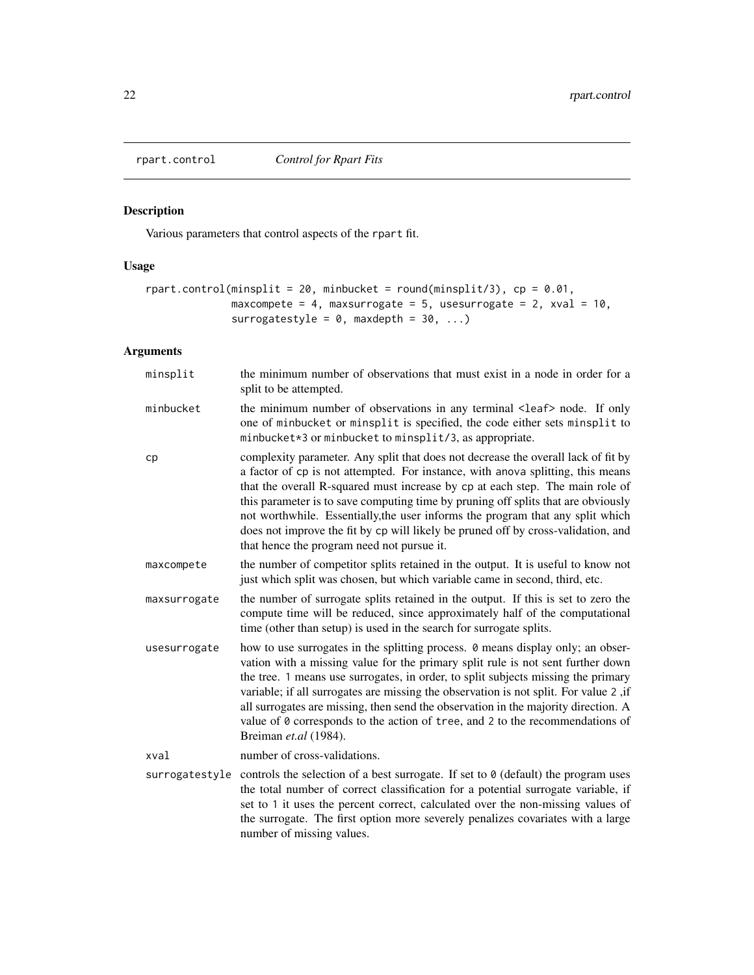<span id="page-21-1"></span><span id="page-21-0"></span>

Various parameters that control aspects of the rpart fit.

# Usage

```
rpart.control(minsplit = 20, minbucket = round(minsplit/3), cp = 0.01,
             maxcompete = 4, maxsurrogate = 5, usesurrogate = 2, xval = 10,
             surrogatestyle = 0, maxdepth = 30, ...)
```
# Arguments

| minsplit     | the minimum number of observations that must exist in a node in order for a<br>split to be attempted.                                                                                                                                                                                                                                                                                                                                                                                                                                                           |
|--------------|-----------------------------------------------------------------------------------------------------------------------------------------------------------------------------------------------------------------------------------------------------------------------------------------------------------------------------------------------------------------------------------------------------------------------------------------------------------------------------------------------------------------------------------------------------------------|
| minbucket    | the minimum number of observations in any terminal <leaf> node. If only<br/>one of minbucket or minsplit is specified, the code either sets minsplit to<br/>minbucket*3 or minbucket to minsplit/3, as appropriate.</leaf>                                                                                                                                                                                                                                                                                                                                      |
| cp           | complexity parameter. Any split that does not decrease the overall lack of fit by<br>a factor of cp is not attempted. For instance, with anova splitting, this means<br>that the overall R-squared must increase by cp at each step. The main role of<br>this parameter is to save computing time by pruning off splits that are obviously<br>not worthwhile. Essentially, the user informs the program that any split which<br>does not improve the fit by cp will likely be pruned off by cross-validation, and<br>that hence the program need not pursue it. |
| maxcompete   | the number of competitor splits retained in the output. It is useful to know not<br>just which split was chosen, but which variable came in second, third, etc.                                                                                                                                                                                                                                                                                                                                                                                                 |
| maxsurrogate | the number of surrogate splits retained in the output. If this is set to zero the<br>compute time will be reduced, since approximately half of the computational<br>time (other than setup) is used in the search for surrogate splits.                                                                                                                                                                                                                                                                                                                         |
| usesurrogate | how to use surrogates in the splitting process. 0 means display only; an obser-<br>vation with a missing value for the primary split rule is not sent further down<br>the tree. 1 means use surrogates, in order, to split subjects missing the primary<br>variable; if all surrogates are missing the observation is not split. For value 2, if<br>all surrogates are missing, then send the observation in the majority direction. A<br>value of 0 corresponds to the action of tree, and 2 to the recommendations of<br>Breiman et.al (1984).                |
| xval         | number of cross-validations.                                                                                                                                                                                                                                                                                                                                                                                                                                                                                                                                    |
|              | surrogatestyle controls the selection of a best surrogate. If set to $\theta$ (default) the program uses<br>the total number of correct classification for a potential surrogate variable, if<br>set to 1 it uses the percent correct, calculated over the non-missing values of<br>the surrogate. The first option more severely penalizes covariates with a large<br>number of missing values.                                                                                                                                                                |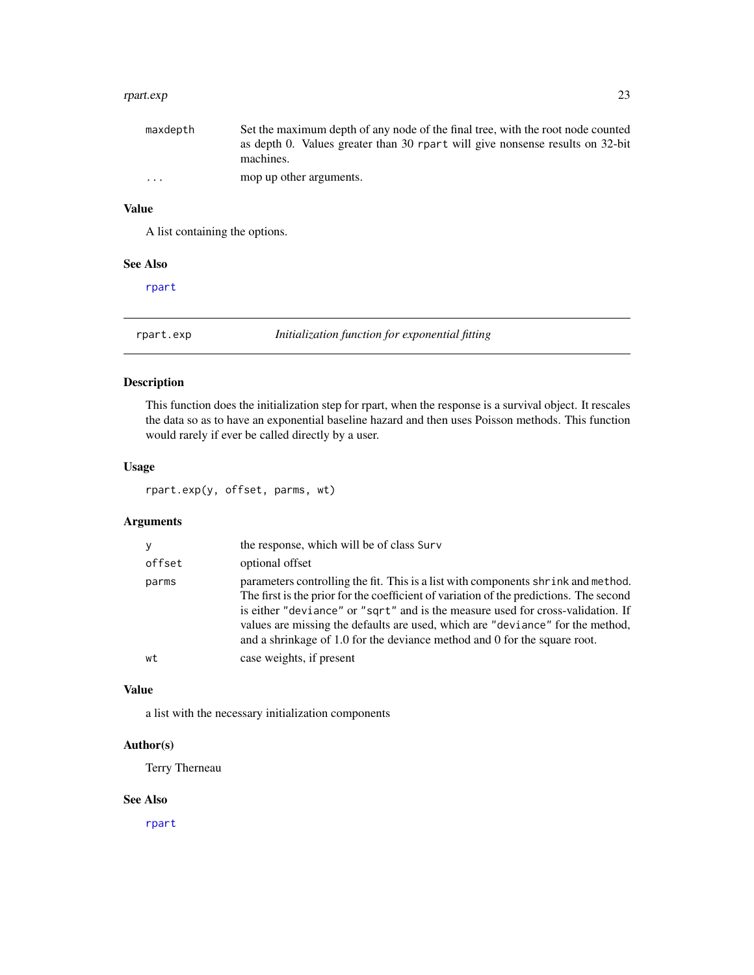#### <span id="page-22-0"></span>rpart.exp 23

| maxdepth | Set the maximum depth of any node of the final tree, with the root node counted            |
|----------|--------------------------------------------------------------------------------------------|
|          | as depth 0. Values greater than 30 rpart will give nonsense results on 32-bit<br>machines. |
| $\cdots$ | mop up other arguments.                                                                    |

# Value

A list containing the options.

#### See Also

[rpart](#page-19-1)

rpart.exp *Initialization function for exponential fitting*

### Description

This function does the initialization step for rpart, when the response is a survival object. It rescales the data so as to have an exponential baseline hazard and then uses Poisson methods. This function would rarely if ever be called directly by a user.

# Usage

rpart.exp(y, offset, parms, wt)

# Arguments

| y      | the response, which will be of class Surv                                                                                                                                                                                                                                                                                                                                                                                     |
|--------|-------------------------------------------------------------------------------------------------------------------------------------------------------------------------------------------------------------------------------------------------------------------------------------------------------------------------------------------------------------------------------------------------------------------------------|
| offset | optional offset                                                                                                                                                                                                                                                                                                                                                                                                               |
| parms  | parameters controlling the fit. This is a list with components shrink and method.<br>The first is the prior for the coefficient of variation of the predictions. The second<br>is either "deviance" or "sqrt" and is the measure used for cross-validation. If<br>values are missing the defaults are used, which are "deviance" for the method,<br>and a shrinkage of 1.0 for the deviance method and 0 for the square root. |
| wt     | case weights, if present                                                                                                                                                                                                                                                                                                                                                                                                      |

# Value

a list with the necessary initialization components

# Author(s)

Terry Therneau

#### See Also

[rpart](#page-19-1)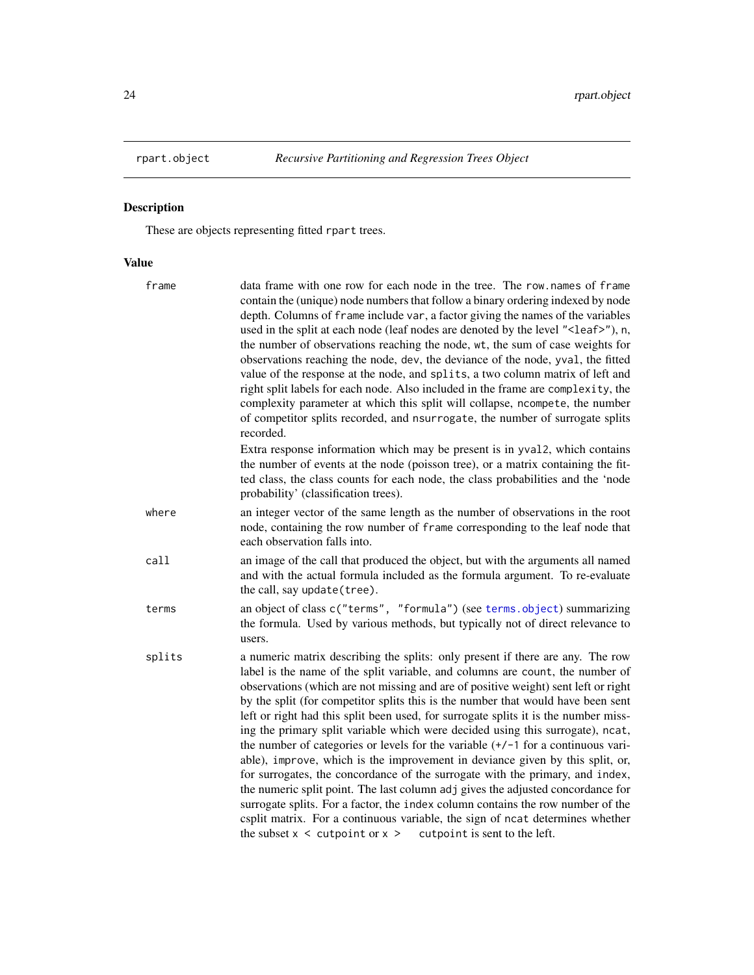<span id="page-23-1"></span><span id="page-23-0"></span>

These are objects representing fitted rpart trees.

# Value

| frame  | data frame with one row for each node in the tree. The row names of frame<br>contain the (unique) node numbers that follow a binary ordering indexed by node<br>depth. Columns of frame include var, a factor giving the names of the variables<br>used in the split at each node (leaf nodes are denoted by the level " <leaf>"), n,<br/>the number of observations reaching the node, wt, the sum of case weights for<br/>observations reaching the node, dev, the deviance of the node, yval, the fitted<br/>value of the response at the node, and splits, a two column matrix of left and<br/>right split labels for each node. Also included in the frame are complexity, the<br/>complexity parameter at which this split will collapse, ncompete, the number<br/>of competitor splits recorded, and nsurrogate, the number of surrogate splits<br/>recorded.<br/>Extra response information which may be present is in yval2, which contains<br/>the number of events at the node (poisson tree), or a matrix containing the fit-<br/>ted class, the class counts for each node, the class probabilities and the 'node</leaf> |
|--------|---------------------------------------------------------------------------------------------------------------------------------------------------------------------------------------------------------------------------------------------------------------------------------------------------------------------------------------------------------------------------------------------------------------------------------------------------------------------------------------------------------------------------------------------------------------------------------------------------------------------------------------------------------------------------------------------------------------------------------------------------------------------------------------------------------------------------------------------------------------------------------------------------------------------------------------------------------------------------------------------------------------------------------------------------------------------------------------------------------------------------------------|
|        | probability' (classification trees).                                                                                                                                                                                                                                                                                                                                                                                                                                                                                                                                                                                                                                                                                                                                                                                                                                                                                                                                                                                                                                                                                                  |
| where  | an integer vector of the same length as the number of observations in the root<br>node, containing the row number of frame corresponding to the leaf node that<br>each observation falls into.                                                                                                                                                                                                                                                                                                                                                                                                                                                                                                                                                                                                                                                                                                                                                                                                                                                                                                                                        |
| call   | an image of the call that produced the object, but with the arguments all named<br>and with the actual formula included as the formula argument. To re-evaluate<br>the call, say update (tree).                                                                                                                                                                                                                                                                                                                                                                                                                                                                                                                                                                                                                                                                                                                                                                                                                                                                                                                                       |
| terms  | an object of class c("terms", "formula") (see terms. object) summarizing<br>the formula. Used by various methods, but typically not of direct relevance to<br>users.                                                                                                                                                                                                                                                                                                                                                                                                                                                                                                                                                                                                                                                                                                                                                                                                                                                                                                                                                                  |
| splits | a numeric matrix describing the splits: only present if there are any. The row<br>label is the name of the split variable, and columns are count, the number of<br>observations (which are not missing and are of positive weight) sent left or right<br>by the split (for competitor splits this is the number that would have been sent<br>left or right had this split been used, for surrogate splits it is the number miss-<br>ing the primary split variable which were decided using this surrogate), ncat,<br>the number of categories or levels for the variable $(+/-1)$ for a continuous vari-<br>able), improve, which is the improvement in deviance given by this split, or,<br>for surrogates, the concordance of the surrogate with the primary, and index,<br>the numeric split point. The last column adj gives the adjusted concordance for<br>surrogate splits. For a factor, the index column contains the row number of the<br>csplit matrix. For a continuous variable, the sign of ncat determines whether<br>cutpoint is sent to the left.<br>the subset $x <$ cutpoint or $x >$                             |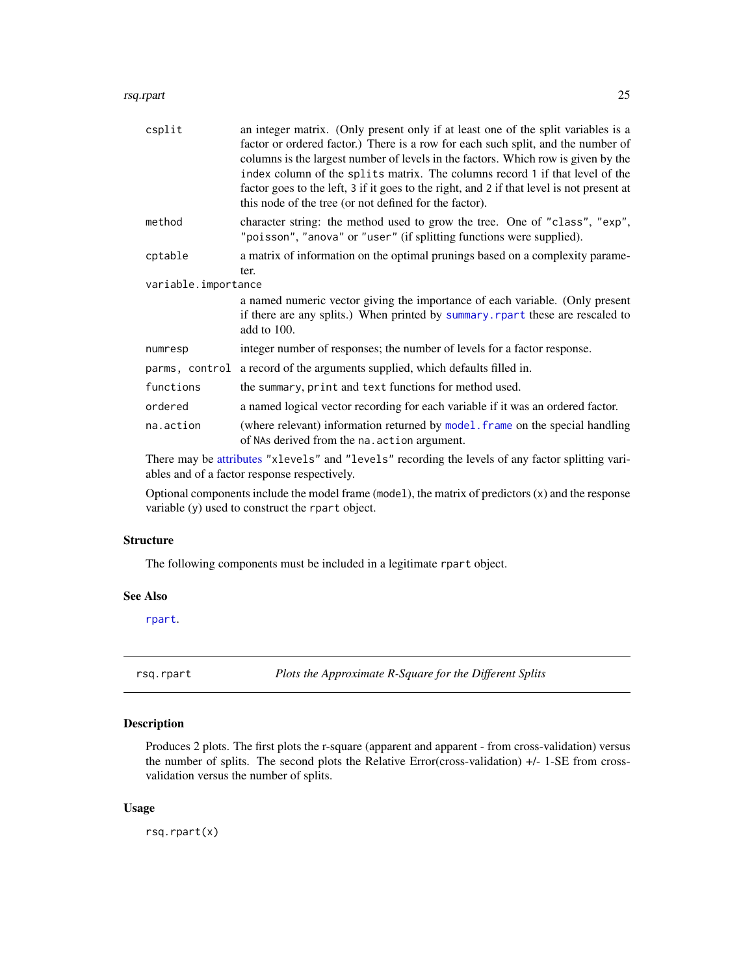#### <span id="page-24-0"></span>rsq.rpart 25

| csplit              | an integer matrix. (Only present only if at least one of the split variables is a<br>factor or ordered factor.) There is a row for each such split, and the number of<br>columns is the largest number of levels in the factors. Which row is given by the<br>index column of the splits matrix. The columns record 1 if that level of the<br>factor goes to the left, 3 if it goes to the right, and 2 if that level is not present at<br>this node of the tree (or not defined for the factor). |
|---------------------|---------------------------------------------------------------------------------------------------------------------------------------------------------------------------------------------------------------------------------------------------------------------------------------------------------------------------------------------------------------------------------------------------------------------------------------------------------------------------------------------------|
| method              | character string: the method used to grow the tree. One of "class", "exp",<br>"poisson", "anova" or "user" (if splitting functions were supplied).                                                                                                                                                                                                                                                                                                                                                |
| cptable             | a matrix of information on the optimal prunings based on a complexity parame-<br>ter.                                                                                                                                                                                                                                                                                                                                                                                                             |
| variable.importance |                                                                                                                                                                                                                                                                                                                                                                                                                                                                                                   |
|                     | a named numeric vector giving the importance of each variable. (Only present<br>if there are any splits.) When printed by summary. rpart these are rescaled to<br>add to 100.                                                                                                                                                                                                                                                                                                                     |
| numresp             | integer number of responses; the number of levels for a factor response.                                                                                                                                                                                                                                                                                                                                                                                                                          |
| parms, control      | a record of the arguments supplied, which defaults filled in.                                                                                                                                                                                                                                                                                                                                                                                                                                     |
| functions           | the summary, print and text functions for method used.                                                                                                                                                                                                                                                                                                                                                                                                                                            |
| ordered             | a named logical vector recording for each variable if it was an ordered factor.                                                                                                                                                                                                                                                                                                                                                                                                                   |
| na.action           | (where relevant) information returned by model. frame on the special handling<br>of NAs derived from the na. action argument.                                                                                                                                                                                                                                                                                                                                                                     |
|                     |                                                                                                                                                                                                                                                                                                                                                                                                                                                                                                   |

There may be [attributes](#page-0-0) "xlevels" and "levels" recording the levels of any factor splitting variables and of a factor response respectively.

Optional components include the model frame (model), the matrix of predictors (x) and the response variable (y) used to construct the rpart object.

#### Structure

The following components must be included in a legitimate rpart object.

#### See Also

[rpart](#page-19-1).

rsq.rpart *Plots the Approximate R-Square for the Different Splits*

# Description

Produces 2 plots. The first plots the r-square (apparent and apparent - from cross-validation) versus the number of splits. The second plots the Relative Error(cross-validation) +/- 1-SE from crossvalidation versus the number of splits.

#### Usage

rsq.rpart(x)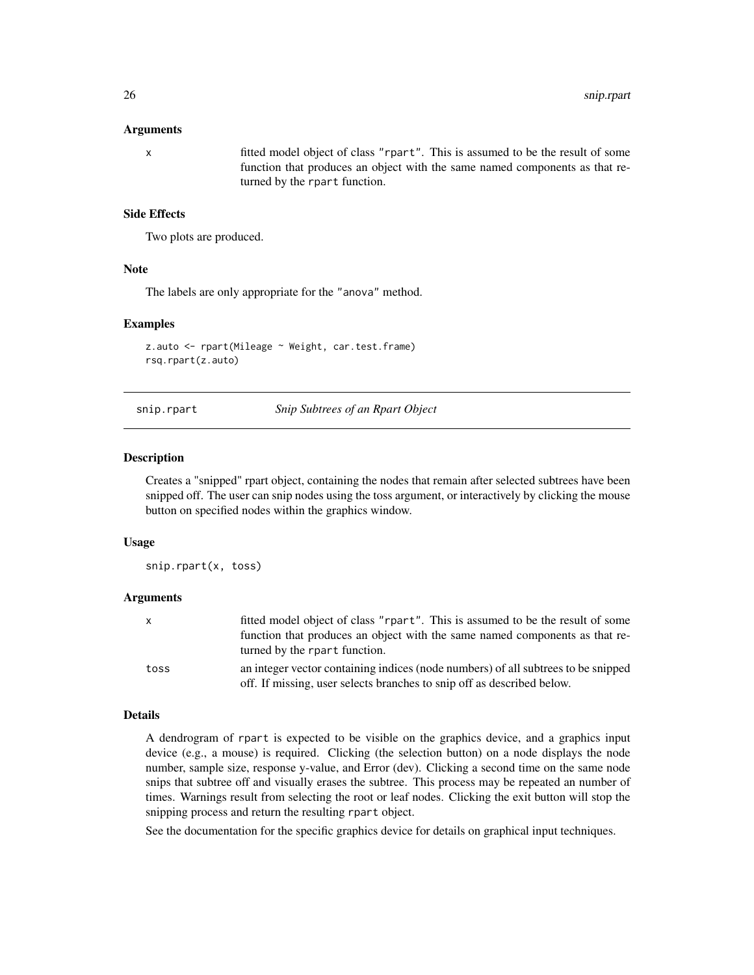#### <span id="page-25-0"></span>Arguments

x fitted model object of class "rpart". This is assumed to be the result of some function that produces an object with the same named components as that returned by the rpart function.

# Side Effects

Two plots are produced.

#### Note

The labels are only appropriate for the "anova" method.

# Examples

z.auto <- rpart(Mileage ~ Weight, car.test.frame) rsq.rpart(z.auto)

snip.rpart *Snip Subtrees of an Rpart Object*

#### **Description**

Creates a "snipped" rpart object, containing the nodes that remain after selected subtrees have been snipped off. The user can snip nodes using the toss argument, or interactively by clicking the mouse button on specified nodes within the graphics window.

#### Usage

snip.rpart(x, toss)

#### Arguments

| X    | fitted model object of class "rpart". This is assumed to be the result of some<br>function that produces an object with the same named components as that re-<br>turned by the rpart function. |
|------|------------------------------------------------------------------------------------------------------------------------------------------------------------------------------------------------|
| toss | an integer vector containing indices (node numbers) of all subtrees to be snipped<br>off. If missing, user selects branches to snip off as described below.                                    |

#### Details

A dendrogram of rpart is expected to be visible on the graphics device, and a graphics input device (e.g., a mouse) is required. Clicking (the selection button) on a node displays the node number, sample size, response y-value, and Error (dev). Clicking a second time on the same node snips that subtree off and visually erases the subtree. This process may be repeated an number of times. Warnings result from selecting the root or leaf nodes. Clicking the exit button will stop the snipping process and return the resulting rpart object.

See the documentation for the specific graphics device for details on graphical input techniques.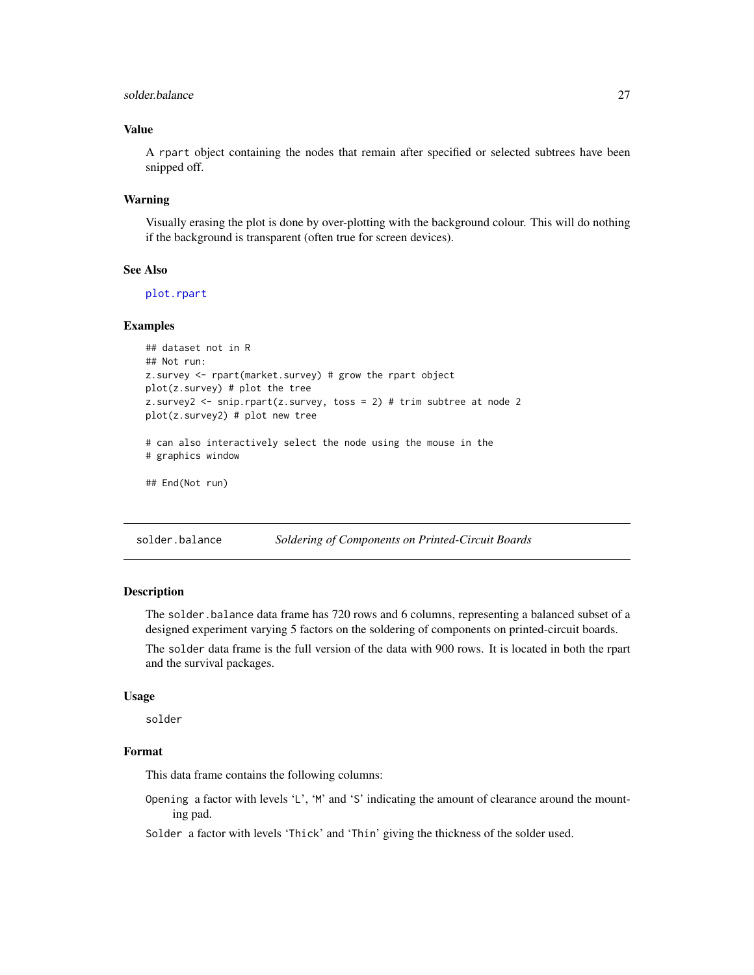#### <span id="page-26-0"></span>solder.balance 27

#### Value

A rpart object containing the nodes that remain after specified or selected subtrees have been snipped off.

#### Warning

Visually erasing the plot is done by over-plotting with the background colour. This will do nothing if the background is transparent (often true for screen devices).

# See Also

[plot.rpart](#page-9-1)

#### Examples

```
## dataset not in R
## Not run:
z.survey <- rpart(market.survey) # grow the rpart object
plot(z.survey) # plot the tree
z.survey2 <- snip.rpart(z.survey, toss = 2) # trim subtree at node 2
plot(z.survey2) # plot new tree
# can also interactively select the node using the mouse in the
# graphics window
## End(Not run)
```
solder.balance *Soldering of Components on Printed-Circuit Boards*

#### **Description**

The solder.balance data frame has 720 rows and 6 columns, representing a balanced subset of a designed experiment varying 5 factors on the soldering of components on printed-circuit boards.

The solder data frame is the full version of the data with 900 rows. It is located in both the rpart and the survival packages.

#### Usage

solder

# Format

This data frame contains the following columns:

Opening a factor with levels 'L', 'M' and 'S' indicating the amount of clearance around the mounting pad.

Solder a factor with levels 'Thick' and 'Thin' giving the thickness of the solder used.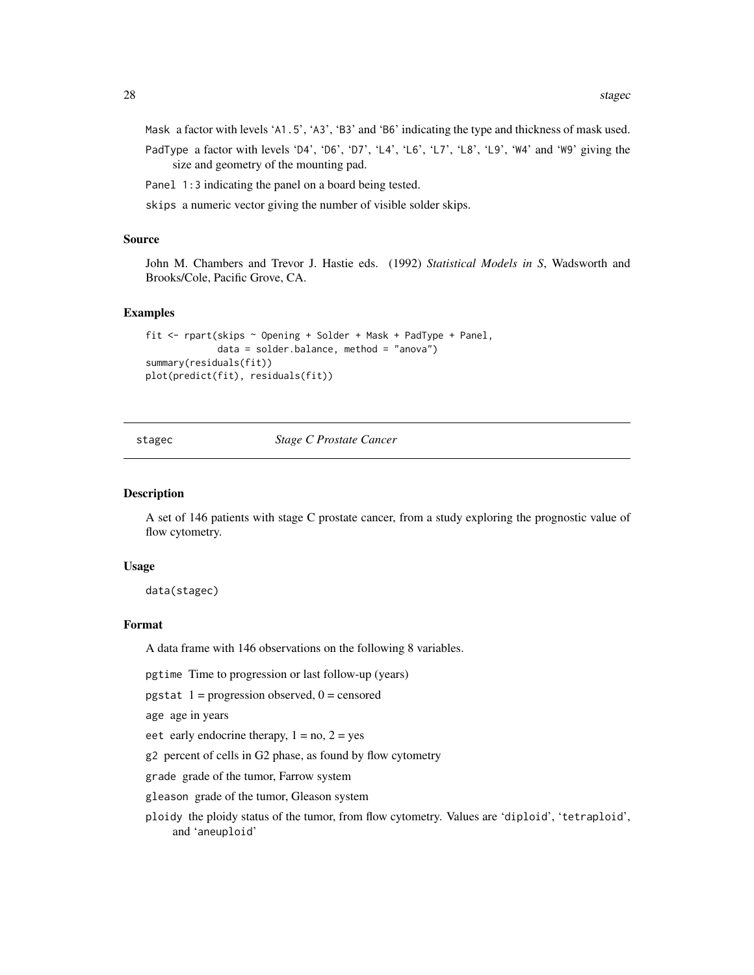<span id="page-27-0"></span>Mask a factor with levels 'A1.5', 'A3', 'B3' and 'B6' indicating the type and thickness of mask used. PadType a factor with levels 'D4', 'D6', 'D7', 'L4', 'L6', 'L7', 'L8', 'L9', 'W4' and 'W9' giving the size and geometry of the mounting pad.

Panel 1:3 indicating the panel on a board being tested.

skips a numeric vector giving the number of visible solder skips.

#### Source

John M. Chambers and Trevor J. Hastie eds. (1992) *Statistical Models in S*, Wadsworth and Brooks/Cole, Pacific Grove, CA.

#### Examples

```
fit <- rpart(skips ~ Opening + Solder + Mask + PadType + Panel,
             data = solder.balance, method = "anova")
summary(residuals(fit))
plot(predict(fit), residuals(fit))
```
stagec *Stage C Prostate Cancer*

#### Description

A set of 146 patients with stage C prostate cancer, from a study exploring the prognostic value of flow cytometry.

#### Usage

data(stagec)

# Format

A data frame with 146 observations on the following 8 variables.

pgtime Time to progression or last follow-up (years)

pgstat  $1 =$  progression observed,  $0 =$  censored

age age in years

eet early endocrine therapy,  $1 = no$ ,  $2 = yes$ 

g2 percent of cells in G2 phase, as found by flow cytometry

grade grade of the tumor, Farrow system

gleason grade of the tumor, Gleason system

ploidy the ploidy status of the tumor, from flow cytometry. Values are 'diploid', 'tetraploid', and 'aneuploid'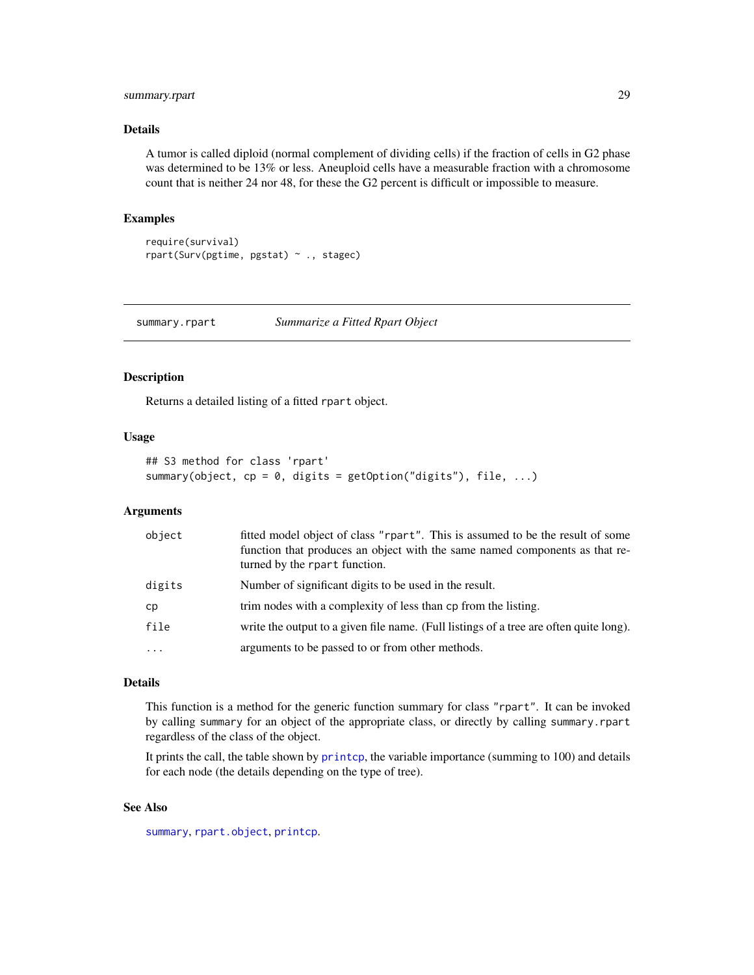# <span id="page-28-0"></span>summary.rpart 29

#### Details

A tumor is called diploid (normal complement of dividing cells) if the fraction of cells in G2 phase was determined to be 13% or less. Aneuploid cells have a measurable fraction with a chromosome count that is neither 24 nor 48, for these the G2 percent is difficult or impossible to measure.

# Examples

```
require(survival)
rpart(Surv(pgtime, pgstat) ~ ., stagec)
```
<span id="page-28-1"></span>summary.rpart *Summarize a Fitted Rpart Object*

#### Description

Returns a detailed listing of a fitted rpart object.

#### Usage

```
## S3 method for class 'rpart'
summary(object, cp = 0, digits = getOption("digits"), file, ...)
```
#### Arguments

| object   | fitted model object of class "rpart". This is assumed to be the result of some<br>function that produces an object with the same named components as that re-<br>turned by the rpart function. |
|----------|------------------------------------------------------------------------------------------------------------------------------------------------------------------------------------------------|
| digits   | Number of significant digits to be used in the result.                                                                                                                                         |
| cp       | trim nodes with a complexity of less than cp from the listing.                                                                                                                                 |
| file     | write the output to a given file name. (Full listings of a tree are often quite long).                                                                                                         |
| $\cdots$ | arguments to be passed to or from other methods.                                                                                                                                               |

#### Details

This function is a method for the generic function summary for class "rpart". It can be invoked by calling summary for an object of the appropriate class, or directly by calling summary.rpart regardless of the class of the object.

It prints the call, the table shown by [printcp](#page-16-1), the variable importance (summing to 100) and details for each node (the details depending on the type of tree).

# See Also

[summary](#page-0-0), [rpart.object](#page-23-1), [printcp](#page-16-1).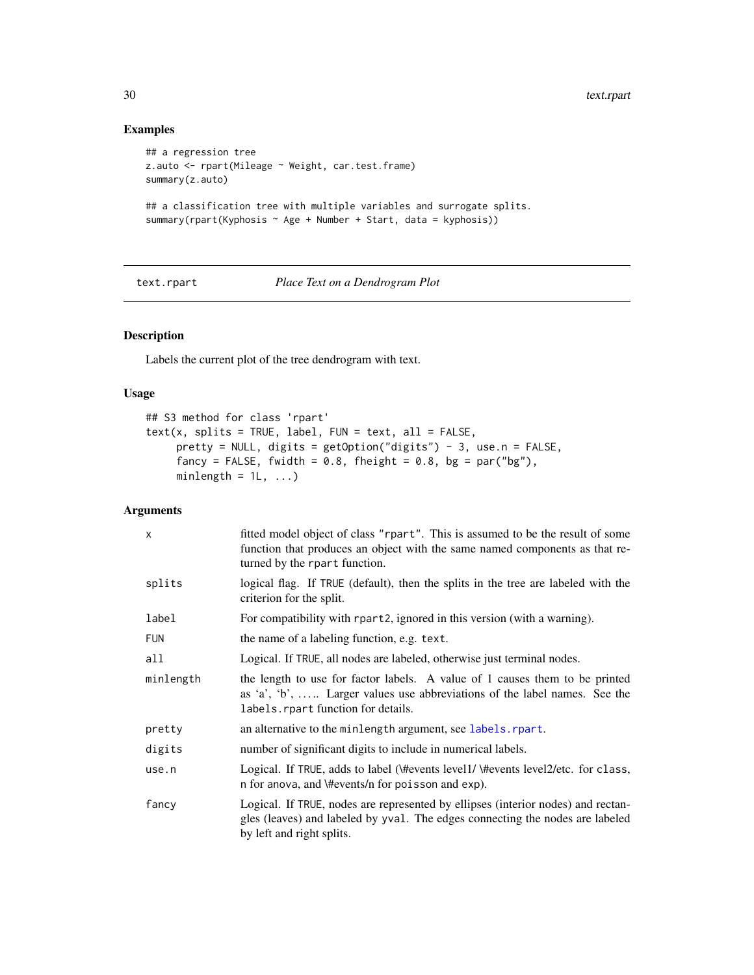# Examples

```
## a regression tree
z.auto <- rpart(Mileage ~ Weight, car.test.frame)
summary(z.auto)
## a classification tree with multiple variables and surrogate splits.
summary(rpart(Kyphosis ~ Age + Number + Start, data = kyphosis))
```
#### <span id="page-29-1"></span>text.rpart *Place Text on a Dendrogram Plot*

# Description

Labels the current plot of the tree dendrogram with text.

# Usage

```
## S3 method for class 'rpart'
text(x, splits = TRUE, label, FUN = text, all = FALSE,pretty = NULL, digits = getOption("digits") - 3, use.n = FALSE,
     fancy = FALSE, fwidth = 0.8, fheight = 0.8, bg = par("bg"),
    minlength = 1L, ...
```
# Arguments

| X          | fitted model object of class "rpart". This is assumed to be the result of some<br>function that produces an object with the same named components as that re-<br>turned by the rpart function.  |
|------------|-------------------------------------------------------------------------------------------------------------------------------------------------------------------------------------------------|
| splits     | logical flag. If TRUE (default), then the splits in the tree are labeled with the<br>criterion for the split.                                                                                   |
| label      | For compatibility with rpart2, ignored in this version (with a warning).                                                                                                                        |
| <b>FUN</b> | the name of a labeling function, e.g. text.                                                                                                                                                     |
| all        | Logical. If TRUE, all nodes are labeled, otherwise just terminal nodes.                                                                                                                         |
| minlength  | the length to use for factor labels. A value of 1 causes them to be printed<br>as 'a', 'b',  Larger values use abbreviations of the label names. See the<br>labels. rpart function for details. |
| pretty     | an alternative to the minlength argument, see labels. rpart.                                                                                                                                    |
| digits     | number of significant digits to include in numerical labels.                                                                                                                                    |
| use.n      | Logical. If TRUE, adds to label (\#events level1/\#events level2/etc. for class,<br>n for anova, and \#events/n for poisson and exp).                                                           |
| fancy      | Logical. If TRUE, nodes are represented by ellipses (interior nodes) and rectan-<br>gles (leaves) and labeled by yval. The edges connecting the nodes are labeled<br>by left and right splits.  |

<span id="page-29-0"></span>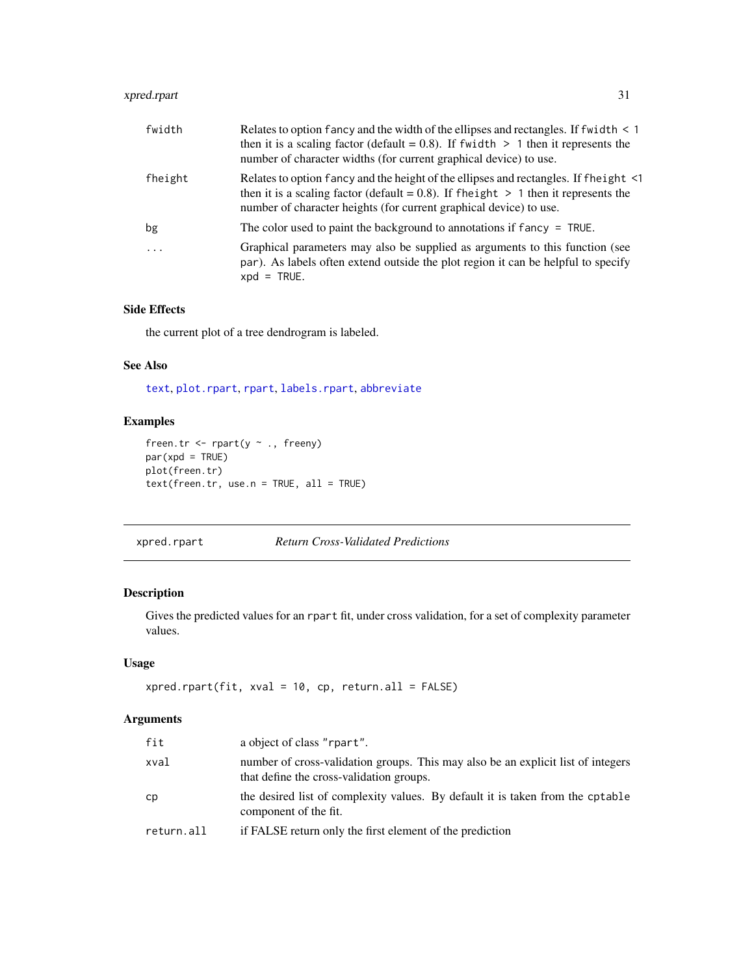# <span id="page-30-0"></span>xpred.rpart 31

| fwidth                  | Relates to option fancy and the width of the ellipses and rectangles. If fwidth $\leq 1$<br>then it is a scaling factor (default = 0.8). If fwidth $> 1$ then it represents the<br>number of character widths (for current graphical device) to use. |
|-------------------------|------------------------------------------------------------------------------------------------------------------------------------------------------------------------------------------------------------------------------------------------------|
| fheight                 | Relates to option fancy and the height of the ellipses and rectangles. If fheight <1<br>then it is a scaling factor (default = $0.8$ ). If fheight > 1 then it represents the<br>number of character heights (for current graphical device) to use.  |
| bg                      | The color used to paint the background to annotations if $f$ and $y = TRUE$ .                                                                                                                                                                        |
| $\cdot$ $\cdot$ $\cdot$ | Graphical parameters may also be supplied as arguments to this function (see<br>par). As labels often extend outside the plot region it can be helpful to specify<br>$xpd = TRUE.$                                                                   |

#### Side Effects

the current plot of a tree dendrogram is labeled.

# See Also

[text](#page-0-0), [plot.rpart](#page-9-1), [rpart](#page-19-1), [labels.rpart](#page-6-1), [abbreviate](#page-0-0)

# Examples

```
freen.tr <- rrpart(y \sim ., freeny)
par(xpd = TRUE)plot(freen.tr)
text(freen.tr, use.n = TRUE, all = TRUE)
```
xpred.rpart *Return Cross-Validated Predictions*

# Description

Gives the predicted values for an rpart fit, under cross validation, for a set of complexity parameter values.

# Usage

```
xpred.rpart(fit, xval = 10, cp, return.al = FALSE)
```
# Arguments

| fit        | a object of class "rpart".                                                                                                   |
|------------|------------------------------------------------------------------------------------------------------------------------------|
| xval       | number of cross-validation groups. This may also be an explicit list of integers<br>that define the cross-validation groups. |
| cp         | the desired list of complexity values. By default it is taken from the cptable<br>component of the fit.                      |
| return.all | if FALSE return only the first element of the prediction                                                                     |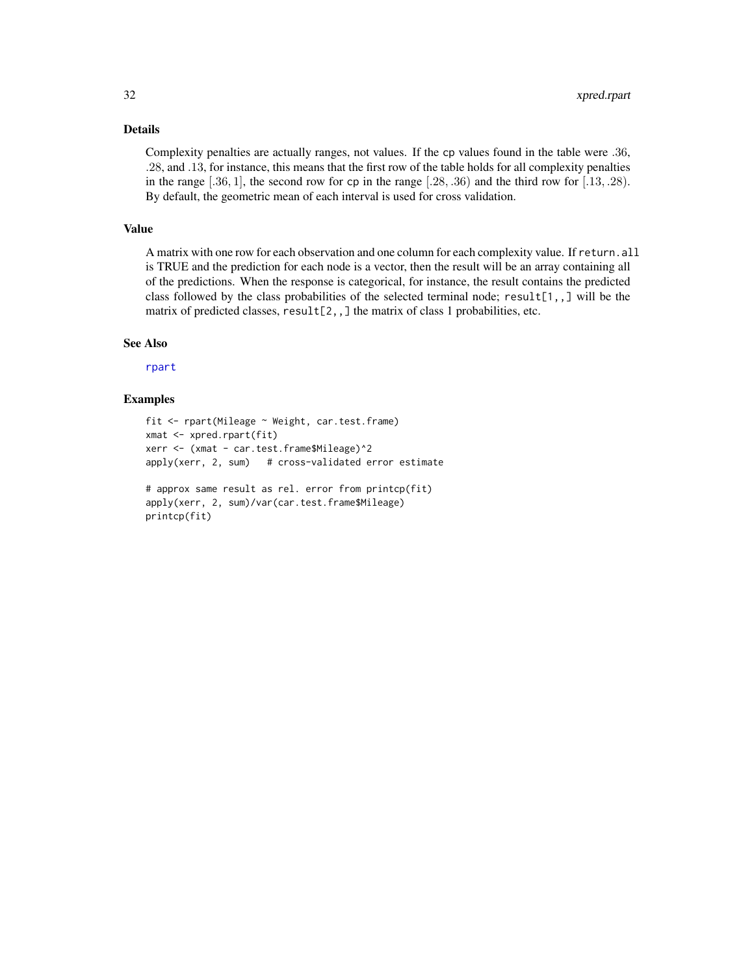# <span id="page-31-0"></span>Details

Complexity penalties are actually ranges, not values. If the cp values found in the table were .36, .28, and .13, for instance, this means that the first row of the table holds for all complexity penalties in the range  $[0.36, 1]$ , the second row for cp in the range  $[0.28, 0.36)$  and the third row for  $[0.13, 0.28)$ . By default, the geometric mean of each interval is used for cross validation.

#### Value

A matrix with one row for each observation and one column for each complexity value. If return.all is TRUE and the prediction for each node is a vector, then the result will be an array containing all of the predictions. When the response is categorical, for instance, the result contains the predicted class followed by the class probabilities of the selected terminal node; result[1,,] will be the matrix of predicted classes, result[2,,] the matrix of class 1 probabilities, etc.

#### See Also

[rpart](#page-19-1)

# Examples

```
fit <- rpart(Mileage ~ Weight, car.test.frame)
xmat <- xpred.rpart(fit)
xerr <- (xmat - car.test.frame$Mileage)^2
apply(xerr, 2, sum) # cross-validated error estimate
# approx same result as rel. error from printcp(fit)
apply(xerr, 2, sum)/var(car.test.frame$Mileage)
printcp(fit)
```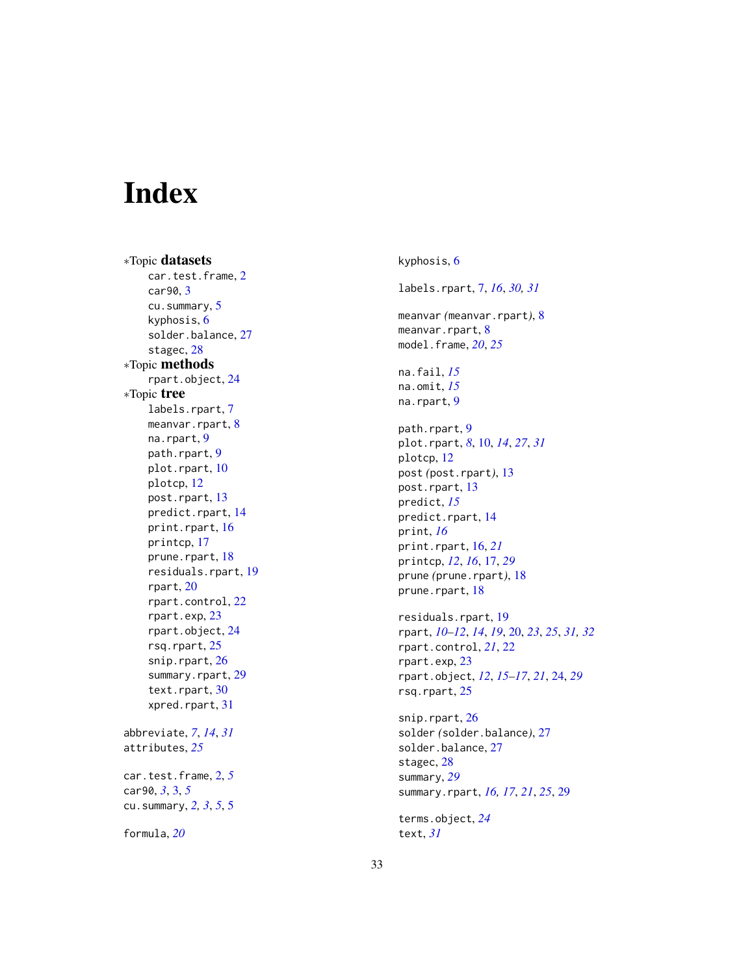# <span id="page-32-0"></span>Index

∗Topic datasets car.test.frame , [2](#page-1-0) car90 , [3](#page-2-0) cu.summary, [5](#page-4-0) kyphosis , [6](#page-5-0) solder.balance , [27](#page-26-0) stagec, [28](#page-27-0) ∗Topic methods rpart.object , [24](#page-23-0) ∗Topic tree labels.rpart , [7](#page-6-0) meanvar.rpart, <mark>[8](#page-7-0)</mark> na.rpart , [9](#page-8-0) path.rpart , [9](#page-8-0) plot.rpart , [10](#page-9-0) plotcp , [12](#page-11-0) post.rpart , [13](#page-12-0) predict.rpart , [14](#page-13-0) print.rpart, [16](#page-15-0) printcp , [17](#page-16-0) prune.rpart, [18](#page-17-0) residuals.rpart , [19](#page-18-0) rpart , [20](#page-19-0) rpart.control , [22](#page-21-0) rpart.exp , [23](#page-22-0) rpart.object , [24](#page-23-0) rsq.rpart , [25](#page-24-0) snip.rpart, [26](#page-25-0) summary.rpart, [29](#page-28-0) text.rpart, [30](#page-29-0) xpred.rpart , [31](#page-30-0) abbreviate , *[7](#page-6-0)* , *[14](#page-13-0)* , *[31](#page-30-0)* attributes , *[25](#page-24-0)* car.test.frame , [2](#page-1-0) , *[5](#page-4-0)* car90 , *[3](#page-2-0)* , [3](#page-2-0) , *[5](#page-4-0)* cu.summary , *[2](#page-1-0) , [3](#page-2-0)* , *[5](#page-4-0)* , [5](#page-4-0) formula , *[20](#page-19-0)*

kyphosis , [6](#page-5-0) labels.rpart , [7](#page-6-0) , *[16](#page-15-0)* , *[30](#page-29-0) , [31](#page-30-0)* meanvar *(*meanvar.rpart *)* , [8](#page-7-0) meanvar.rpart, <mark>[8](#page-7-0)</mark> model.frame , *[20](#page-19-0)* , *[25](#page-24-0)* na.fail , *[15](#page-14-0)* na.omit , *[15](#page-14-0)* na.rpart, [9](#page-8-0) path.rpart, [9](#page-8-0) plot.rpart , *[8](#page-7-0)* , [10](#page-9-0) , *[14](#page-13-0)* , *[27](#page-26-0)* , *[31](#page-30-0)* plotcp , [12](#page-11-0) post *(*post.rpart *)* , [13](#page-12-0) post.rpart , [13](#page-12-0) predict , *[15](#page-14-0)* predict.rpart, [14](#page-13-0) print , *[16](#page-15-0)* print.rpart , [16](#page-15-0) , *[21](#page-20-0)* printcp , *[12](#page-11-0)* , *[16](#page-15-0)* , [17](#page-16-0) , *[29](#page-28-0)* prune *(*prune.rpart *)* , [18](#page-17-0) prune.rpart, [18](#page-17-0) residuals.rpart , [19](#page-18-0) rpart , *[10](#page-9-0)[–12](#page-11-0)* , *[14](#page-13-0)* , *[19](#page-18-0)* , [20](#page-19-0) , *[23](#page-22-0)* , *[25](#page-24-0)* , *[31](#page-30-0) , [32](#page-31-0)* rpart.control , *[21](#page-20-0)* , [22](#page-21-0) rpart.exp , [23](#page-22-0) rpart.object , *[12](#page-11-0)* , *[15](#page-14-0) [–17](#page-16-0)* , *[21](#page-20-0)* , [24](#page-23-0) , *[29](#page-28-0)* rsq.rpart , [25](#page-24-0) snip.rpart, [26](#page-25-0) solder *(*solder.balance *)* , [27](#page-26-0) solder.balance , [27](#page-26-0) stagec, [28](#page-27-0) summary , *[29](#page-28-0)* summary.rpart , *[16,](#page-15-0) [17](#page-16-0)* , *[21](#page-20-0)* , *[25](#page-24-0)* , [29](#page-28-0) terms.object , *[24](#page-23-0)* text , *[31](#page-30-0)*